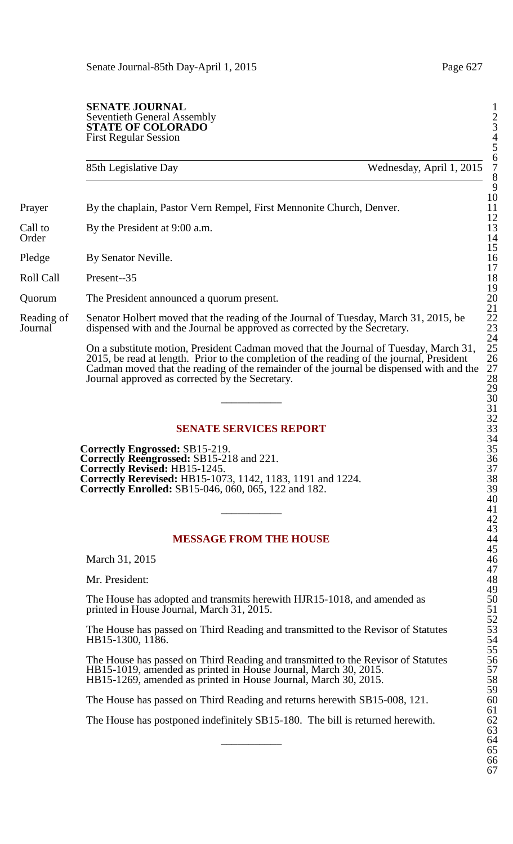#### **SENATE JOURNAL** Seventieth General Assembly 2 **STATE OF COLORADO** First Regular Session 4

85th Legislative Day Wednesday, April 1, 2015

Prayer By the chaplain, Pastor Vern Rempel, First Mennonite Church, Denver.

Call to By the President at 9:00 a.m.<br>Order Order 14

Pledge By Senator Neville.

Roll Call Present--35 18

Quorum The President announced a quorum present. 20

Reading of Senator Holbert moved that the reading of the Journal of Tuesday, March 31, 2015, be<br>Journal dispensed with and the Journal be approved as corrected by the Secretary. dispensed with and the Journal be approved as corrected by the Secretary.

> On a substitute motion, President Cadman moved that the Journal of Tuesday, March 31, 2015, be read at length. Prior to the completion of the reading of the journal, President 26 Cadman moved that the reading of the remainder of the journal be dispensed with and the 27 Journal approved as corrected by the Secretary.

## **SENATE SERVICES REPORT**

**Correctly Engrossed:** SB15-219. **Correctly Reengrossed: SB15-218 and 221. Correctly Revised: HB15-1245. Correctly Rerevised:** HB15-1073, 1142, 1183, 1191 and 1224. 38 **Correctly Enrolled:** SB15-046, 060, 065, 122 and 182. 39

### **MESSAGE FROM THE HOUSE**

March 31, 2015

Mr. President:

The House has adopted and transmits herewith HJR15-1018, and amended as printed in House Journal, March 31, 2015.

The House has passed on Third Reading and transmitted to the Revisor of Statutes HB15-1300, 1186.

The House has passed on Third Reading and transmitted to the Revisor of Statutes  $HB15-1019$ , amended as printed in House Journal, March 30, 2015. HB15-1269, amended as printed in House Journal, March 30, 2015.

The House has passed on Third Reading and returns herewith SB15-008, 121.

The House has postponed indefinitely SB15-180. The bill is returned herewith.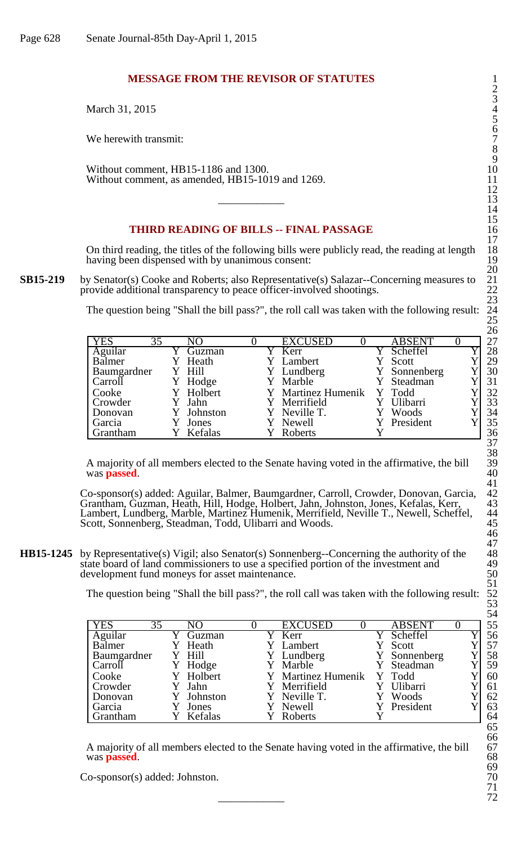# **MESSAGE FROM THE REVISOR OF STATUTES**

March 31, 2015

We herewith transmit:

Without comment, HB15-1186 and 1300. Without comment, as amended, HB15-1019 and 1269.

# **THIRD READING OF BILLS -- FINAL PASSAGE**

On third reading, the titles of the following bills were publicly read, the reading at length 18 having been dispensed with by unanimous consent:

**SB15-219** by Senator(s) Cooke and Roberts; also Representative(s) Salazar--Concerning measures to provide additional transparency to peace officer-involved shootings.

The question being "Shall the bill pass?", the roll call was taken with the following result:

|                  |            |  |                    |               |  | - - |
|------------------|------------|--|--------------------|---------------|--|-----|
| <b>YES</b><br>35 | NO         |  | <b>EXCUSED</b>     | <b>ABSENT</b> |  | 27  |
| Aguilar          | Guzman     |  | Kerr               | Scheffel      |  | 28  |
| Balmer           | Y Heath    |  | Y Lambert          | Scott         |  | 29  |
| Baumgardner      | Y Hill     |  | Y Lundberg         | Y Sonnenberg  |  | 30  |
| Carroll          | Y Hodge    |  | Y Marble           | Y Steadman    |  | 31  |
| Cooke            | Y Holbert  |  | Y Martinez Humenik | Y Todd        |  | 32  |
| Crowder          | Jahn       |  | Y Merrifield       | Ulibarri      |  | 33  |
| Donovan          | Y Johnston |  | Y Neville T.       | Woods         |  | 34  |
| Garcia           | Jones      |  | Newell             | Y President   |  | 35  |
| Grantham         | Y Kefalas  |  | Roberts            |               |  | 36  |

A majority of all members elected to the Senate having voted in the affirmative, the bill was **passed**.

Co-sponsor(s) added: Aguilar, Balmer, Baumgardner, Carroll, Crowder, Donovan, Garcia, 42 Grantham, Guzman, Heath, Hill, Hodge, Holbert, Jahn, Johnston, Jones, Kefalas, Kerr, 43 Lambert, Lundberg, Marble, Martinez Humenik, Merrifield, Neville T., Newell, Scheffel, 44 Scott, Sonnenberg, Steadman, Todd, Ulibarri and Woods. 45

**HB15-1245** by Representative(s) Vigil; also Senator(s) Sonnenberg--Concerning the authority of the state board of land commissioners to use a specified portion of the investment and development fund moneys for asset maintenance.

The question being "Shall the bill pass?", the roll call was taken with the following result:

|                  |            |  |                           |               |  | ິ  |
|------------------|------------|--|---------------------------|---------------|--|----|
| <b>YES</b><br>35 | NO         |  | <b>EXCUSED</b>            | <b>ABSENT</b> |  | 55 |
| Aguilar          | Guzman     |  | Kerr                      | Scheffel      |  | 56 |
| Balmer           | Y Heath    |  | Y Lambert                 | Scott         |  | 57 |
| Baumgardner      | Y Hill     |  | Y Lundberg                | Y Sonnenberg  |  | 58 |
| Carroll          | Y Hodge    |  | Y Marble                  | Y Steadman    |  | 59 |
| Cooke            | Y Holbert  |  | Y Martinez Humenik Y Todd |               |  | 60 |
| Crowder          | Y Jahn     |  | Y Merrifield              | Ulibarri      |  | 61 |
| Donovan          | Y Johnston |  | Y Neville T.              | Woods         |  | 62 |
| Garcia           | Jones      |  | Y Newell                  | President     |  | 63 |
| Grantham         | Y Kefalas  |  | Roberts                   |               |  | 64 |

A majority of all members elected to the Senate having voted in the affirmative, the bill 67 was **passed**.

Co-sponsor(s) added: Johnston. 70<br>
71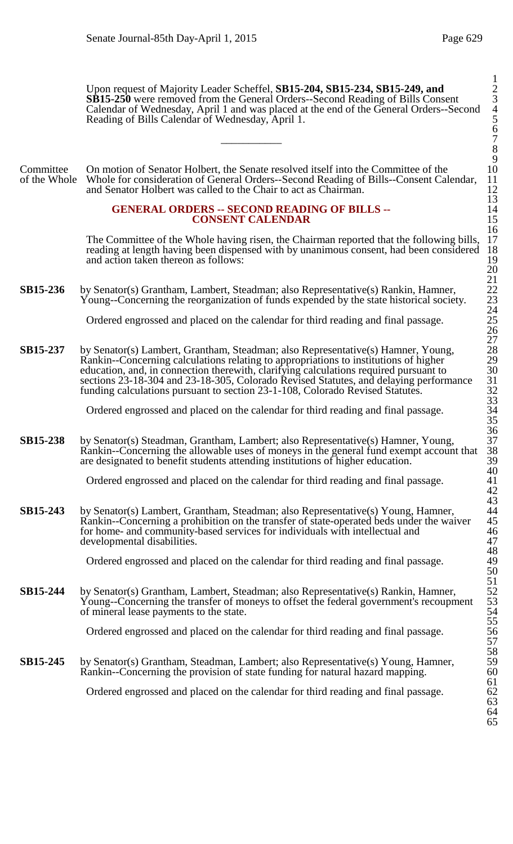Upon request of Majority Leader Scheffel, **SB15-204, SB15-234, SB15-249, and** 2 **SB15-250** were removed from the General Orders--Second Reading of Bills Consent Calendar of Wednesday, April 1 and was placed at the end of the General Orders--Second 4 Reading of Bills Calendar of Wednesday, April 1.  $\frac{6}{7}$ 

Committee On motion of Senator Holbert, the Senate resolved itself into the Committee of the of the Whole Whole for consideration of General Orders-Second Reading of Bills--Consent Cal Whole for consideration of General Orders--Second Reading of Bills--Consent Calendar, 11<br>and Senator Holbert was called to the Chair to act as Chairman. 12 and Senator Holbert was called to the Chair to act as Chairman.

#### **GENERAL ORDERS -- SECOND READING OF BILLS --CONSENT CALENDAR**

The Committee of the Whole having risen, the Chairman reported that the following bills, reading at length having been dispensed with by unanimous consent, had been considered and action taken thereon as follows:

**SB15-236** by Senator(s) Grantham, Lambert, Steadman; also Representative(s) Rankin, Hamner, Young--Concerning the reorganization of funds expended by the state historical society.

Ordered engrossed and placed on the calendar for third reading and final passage. 25

**SB15-237** by Senator(s) Lambert, Grantham, Steadman; also Representative(s) Hamner, Young, Rankin--Concerning calculations relating to appropriations to institutions of higher 29 education, and, in connection therewith, clarifying calculations required pursuant to 30 sections 23-18-304 and 23-18-305, Colorado Revised Statutes, and delaying performance funding calculations pursuant to section 23-1-108, Colorado Revised Statutes. 32

Ordered engrossed and placed on the calendar for third reading and final passage. 34

**SB15-238** by Senator(s) Steadman, Grantham, Lambert; also Representative(s) Hamner, Young, Rankin--Concerning the allowable uses of moneys in the general fund exempt account that are designated to benefit students attending institutions of higher education.

Ordered engrossed and placed on the calendar for third reading and final passage. 41

**SB15-243** by Senator(s) Lambert, Grantham, Steadman; also Representative(s) Young, Hamner, Rankin--Concerning a prohibition on the transfer of state-operated beds under the waiver 45 for home- and community-based services for individuals with intellectual and 46 developmental disabilities.

Ordered engrossed and placed on the calendar for third reading and final passage.

**SB15-244** by Senator(s) Grantham, Lambert, Steadman; also Representative(s) Rankin, Hamner, Young--Concerning the transfer of moneys to offset the federal government's recoupment of mineral lease payments to the state.

Ordered engrossed and placed on the calendar for third reading and final passage. 56

**SB15-245** by Senator(s) Grantham, Steadman, Lambert; also Representative(s) Young, Hamner, Rankin--Concerning the provision of state funding for natural hazard mapping.

Ordered engrossed and placed on the calendar for third reading and final passage. 62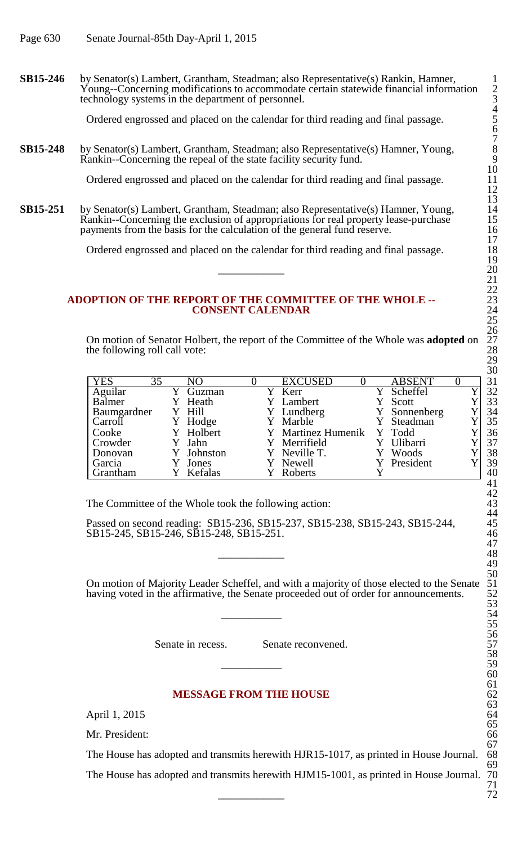**SB15-246** by Senator(s) Lambert, Grantham, Steadman; also Representative(s) Rankin, Hamner, Young--Concerning modifications to accommodate certain statewide financial information 2 technology systems in the department of personnel.

Ordered engrossed and placed on the calendar for third reading and final passage. 5

**SB15-248** by Senator(s) Lambert, Grantham, Steadman; also Representative(s) Hamner, Young, Rankin--Concerning the repeal of the state facility security fund.

Ordered engrossed and placed on the calendar for third reading and final passage.

**SB15-251** by Senator(s) Lambert, Grantham, Steadman; also Representative(s) Hamner, Young, Rankin--Concerning the exclusion of appropriations for real property lease-purchase 15 payments from the basis for the calculation of the general fund reserve. 16

Ordered engrossed and placed on the calendar for third reading and final passage.

### **ADOPTION OF THE REPORT OF THE COMMITTEE OF THE WHOLE --** 23 **CONSENT CALENDAR**

On motion of Senator Holbert, the report of the Committee of the Whole was **adopted** on 27 the following roll call vote:

| <b>YES</b><br>35 | NO         |  | <b>EXCUSED</b>            | <b>ABSENT</b> |  | 31 |
|------------------|------------|--|---------------------------|---------------|--|----|
| Aguilar          | Guzman     |  | Y Kerr                    | Scheffel      |  | 32 |
| Balmer           | Heath      |  | Y Lambert                 | Scott         |  | 33 |
| Baumgardner      | Y Hill     |  | Y Lundberg                | Y Sonnenberg  |  | 34 |
| Carroll          | Y Hodge    |  | Y Marble                  | Y Steadman    |  | 35 |
| Cooke            | Y Holbert  |  | Y Martinez Humenik Y Todd |               |  | 36 |
| Crowder          | Y Jahn     |  | Y Merrifield              | Ulibarri      |  | 37 |
| Donovan          | Y Johnston |  | Y Neville T.              | Woods         |  | 38 |
| Garcia           | Jones      |  | Y Newell                  | Y President   |  | 39 |
| Grantham         | Kefalas    |  | Roberts                   |               |  | 40 |

The Committee of the Whole took the following action:

Passed on second reading: SB15-236, SB15-237, SB15-238, SB15-243, SB15-244, SB15-245, SB15-246, SB15-248, SB15-251. 46  $\frac{47}{48}$ 

On motion of Majority Leader Scheffel, and with a majority of those elected to the Senate having voted in the affirmative, the Senate proceeded out of order for announcements.  $\frac{53}{54}$ 

Senate in recess. Senate reconvened.

## **MESSAGE FROM THE HOUSE**

April 1, 2015

Mr. President:

The House has adopted and transmits herewith HJR15-1017, as printed in House Journal. 68

The House has adopted and transmits herewith HJM15-1001, as printed in House Journal. 70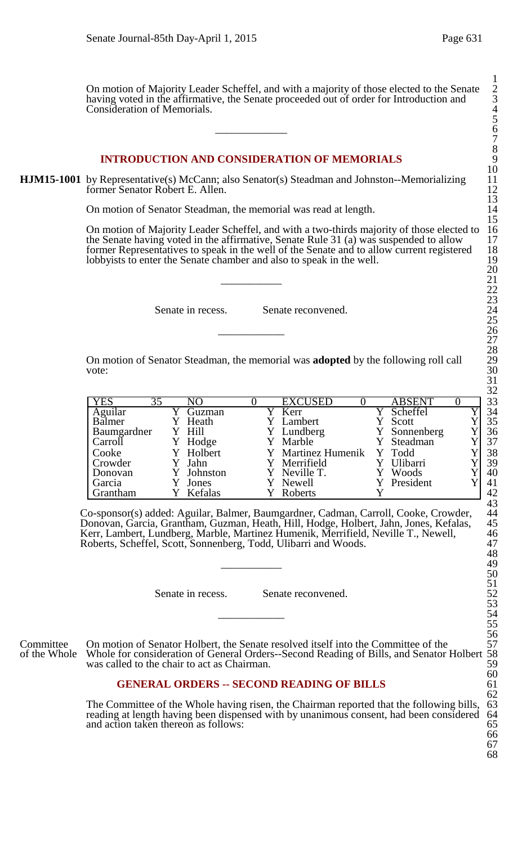On motion of Majority Leader Scheffel, and with a majority of those elected to the Senate 2 having voted in the affirmative, the Senate proceeded out of order for Introduction and Consideration of Memorials. 4  $\frac{5}{6}$ 

## **INTRODUCTION AND CONSIDERATION OF MEMORIALS**

**HJM15-1001** by Representative(s) McCann; also Senator(s) Steadman and Johnston--Memorializing former Senator Robert E. Allen.

On motion of Senator Steadman, the memorial was read at length.

On motion of Majority Leader Scheffel, and with a two-thirds majority of those elected to 16 the Senate having voted in the affirmative, Senate Rule 31 (a) was suspended to allow 17 former Representatives to speak in the well of the Senate and to allow current registered lobbyists to enter the Senate chamber and also to speak in the well.  $\frac{20}{21}$ 

Senate in recess. Senate reconvened.

On motion of Senator Steadman, the memorial was **adopted** by the following roll call vote:  $30$ 

| <b>YES</b><br>35 | NO.        |  | <b>EXCUSED</b>     | <b>ABSENT</b> |  | 33 |
|------------------|------------|--|--------------------|---------------|--|----|
| Aguilar          | Guzman     |  | Y Kerr             | Scheffel      |  | 34 |
| Balmer           | Heath      |  | Y Lambert          | Scott         |  | 35 |
| Baumgardner      | Y Hill     |  | Y Lundberg         | Y Sonnenberg  |  | 36 |
| Carroll          | Hodge      |  | Y Marble           | Y Steadman    |  | 37 |
| Cooke            | Y Holbert  |  | Y Martinez Humenik | Y Todd        |  | 38 |
| Crowder          | Y Jahn     |  | Y Merrifield       | Ulibarri      |  | 39 |
| Donovan          | Y Johnston |  | Y Neville T.       | Woods         |  | 40 |
| Garcia           | Jones      |  | Y Newell           | Y President   |  | 41 |
| Grantham         | Kefalas    |  | Roberts            |               |  | 42 |

Co-sponsor(s) added: Aguilar, Balmer, Baumgardner, Cadman, Carroll, Cooke, Crowder, 44 Donovan, Garcia, Grantham, Guzman, Heath, Hill, Hodge, Holbert, Jahn, Jones, Kefalas, 45 Kerr, Lambert, Lundberg, Marble, Martinez Humenik, Merrifield, Neville T., Newell, 46 Roberts, Scheffel, Scott, Sonnenberg, Todd, Ulibarri and Woods. 47  $\frac{48}{49}$ 

Senate in recess. Senate reconvened.

Committee On motion of Senator Holbert, the Senate resolved itself into the Committee of the 57<br>of the Whole Whole for consideration of General Orders--Second Reading of Bills, and Senator Holbert 58 Whole for consideration of General Orders--Second Reading of Bills, and Senator Holbert 58 was called to the chair to act as Chairman. was called to the chair to act as Chairman.

## **GENERAL ORDERS -- SECOND READING OF BILLS**

The Committee of the Whole having risen, the Chairman reported that the following bills, 63 reading at length having been dispensed with by unanimous consent, had been considered 64 reading at length having been dispensed with by unanimous consent, had been considered 64 and action taken thereon as follows: and action taken thereon as follows: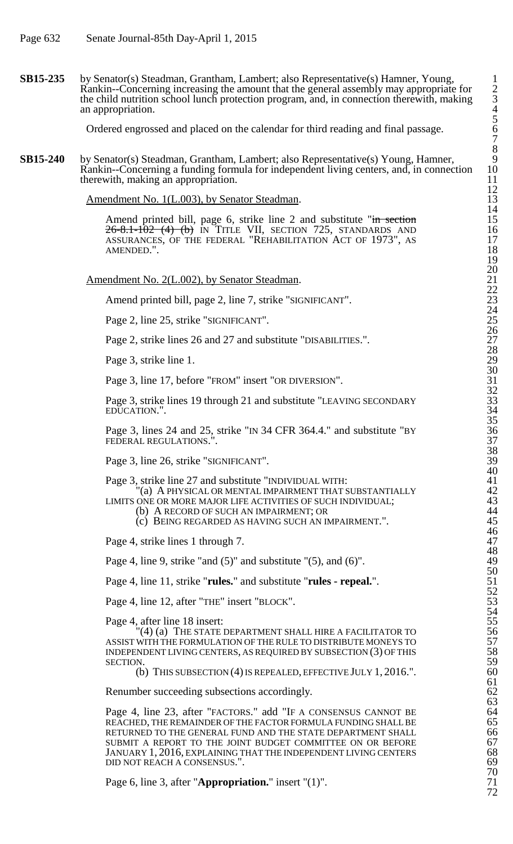**SB15-235** by Senator(s) Steadman, Grantham, Lambert; also Representative(s) Hamner, Young, 1 Rankin--Concerning increasing the amount that the general assembly may appropriate for 2 the child nutrition school lunch protection program, and, in connection therewith, making 3 an appropriation. 4

Ordered engrossed and placed on the calendar for third reading and final passage. 6

**SB15-240** by Senator(s) Steadman, Grantham, Lambert; also Representative(s) Young, Hamner, Rankin--Concerning a funding formula for independent living centers, and, in connection therewith, making an appropriation.

Amendment No. 1(L.003), by Senator Steadman.

Amend printed bill, page 6, strike line 2 and substitute "in section 15  $26 - 8.1 - 102$  (4) (b) In Title VII, section 725, standards and 16 ASSURANCES, OF THE FEDERAL "REHABILITATION ACT OF 1973", AS 17 AMENDED.". 18

Amendment No. 2(L.002), by Senator Steadman.

Amend printed bill, page 2, line 7, strike "SIGNIFICANT".

Page 2, line 25, strike "SIGNIFICANT".

Page 2, strike lines 26 and 27 and substitute "DISABILITIES.".

Page 3, strike line 1.

Page 3, line 17, before "FROM" insert "OR DIVERSION".

Page 3, strike lines 19 through 21 and substitute "LEAVING SECONDARY EDUCATION.".

Page 3, lines 24 and 25, strike "IN 34 CFR 364.4." and substitute "BY FEDERAL REGULATIONS.".

Page 3, line 26, strike "SIGNIFICANT".

Page 3, strike line 27 and substitute "INDIVIDUAL WITH: 41

 $\rm ^{1\!}{\rm (a)}\;$  A physical or mental impairment that substantially  $\rm ^{42}$ 

LIMITS ONE OR MORE MAJOR LIFE ACTIVITIES OF SUCH INDIVIDUAL;

(b) A RECORD OF SUCH AN IMPAIRMENT; OR 44

 $(c)$  BEING REGARDED AS HAVING SUCH AN IMPAIRMENT.".

Page 4, strike lines 1 through 7.

Page 4, line 9, strike "and  $(5)$ " and substitute " $(5)$ , and  $(6)$ ".

Page 4, line 11, strike "**rules.**" and substitute "**rules - repeal.**".

Page 4, line 12, after "THE" insert "BLOCK".

Page 4, after line 18 insert: 55

 $^{\prime\prime}(4)$  (a) The state department shall hire a facilitator to  $56$ ASSIST WITH THE FORMULATION OF THE RULE TO DISTRIBUTE MONEYS TO 57 INDEPENDENT LIVING CENTERS, AS REQUIRED BY SUBSECTION  $(3)$  OF THIS SECTION. 59

(b) THIS SUBSECTION  $(4)$  IS REPEALED, EFFECTIVE JULY 1, 2016.".

Renumber succeeding subsections accordingly.

Page 4, line 23, after "FACTORS." add "IF A CONSENSUS CANNOT BE REACHED, THE REMAINDER OF THE FACTOR FORMULA FUNDING SHALL BE **65**<br>RETURNED TO THE GENERAL FUND AND THE STATE DEPARTMENT SHALL **66** RETURNED TO THE GENERAL FUND AND THE STATE DEPARTMENT SHALL 666<br>SUBMIT A REPORT TO THE JOINT BUDGET COMMITTEE ON OR BEFORE 67 SUBMIT A REPORT TO THE JOINT BUDGET COMMITTEE ON OR BEFORE 67<br>JANUARY 1, 2016, EXPLAINING THAT THE INDEPENDENT LIVING CENTERS 68 JANUARY 1, 2016, EXPLAINING THAT THE INDEPENDENT LIVING CENTERS 68<br>DID NOT REACH A CONSENSUS.". DID NOT REACH A CONSENSUS.".

Page 6, line 3, after "**Appropriation.**" insert "(1)".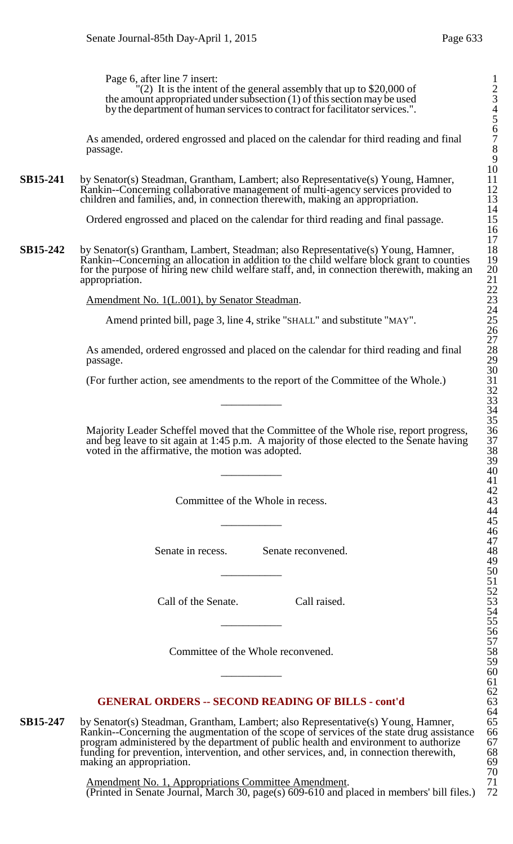Page 6, after line 7 insert: 1

 $^{\prime\prime}(2)$  It is the intent of the general assembly that up to \$20,000 of 2 the amount appropriated under subsection  $(1)$  of this section may be used by the department of human services to contract for facilitator services.". 4

As amended, ordered engrossed and placed on the calendar for third reading and final passage. passage. 8

**SB15-241** by Senator(s) Steadman, Grantham, Lambert; also Representative(s) Young, Hamner, Rankin--Concerning collaborative management of multi-agency services provided to children and families, and, in connection therewith, making an appropriation.

Ordered engrossed and placed on the calendar for third reading and final passage.

**SB15-242** by Senator(s) Grantham, Lambert, Steadman; also Representative(s) Young, Hamner, Rankin--Concerning an allocation in addition to the child welfare block grant to counties for the purpose of hiring new child welfare staff, and, in connection therewith, making an appropriation.

Amendment No. 1(L.001), by Senator Steadman.

Amend printed bill, page 3, line 4, strike "SHALL" and substitute "MAY".

As amended, ordered engrossed and placed on the calendar for third reading and final passage.  $p$ assage.  $29$ 

(For further action, see amendments to the report of the Committee of the Whole.)

Majority Leader Scheffel moved that the Committee of the Whole rise, report progress, and beg leave to sit again at 1:45 p.m. A majority of those elected to the Senate having voted in the affirmative, the motion was adopted.  $\frac{39}{40}$ 

Committee of the Whole in recess.

Senate in recess. Senate reconvened.

Call of the Senate. Call raised.

Committee of the Whole reconvened.

## **GENERAL ORDERS -- SECOND READING OF BILLS - cont'd** 63

**SB15-247** by Senator(s) Steadman, Grantham, Lambert; also Representative(s) Young, Hamner, 65<br>Rankin--Concerning the augmentation of the scope of services of the state drug assistance 66<br>program administered by the depart Rankin--Concerning the augmentation of the scope of services of the state drug assistance program administered by the department of public health and environment to authorize 67 funding for prevention, intervention, and other services, and, in connection therewith, 68 making an appropriation. 69

> Amendment No. 1, Appropriations Committee Amendment. 71 (Printed in Senate Journal, March 30, page(s) 609-610 and placed in members' bill files.) 72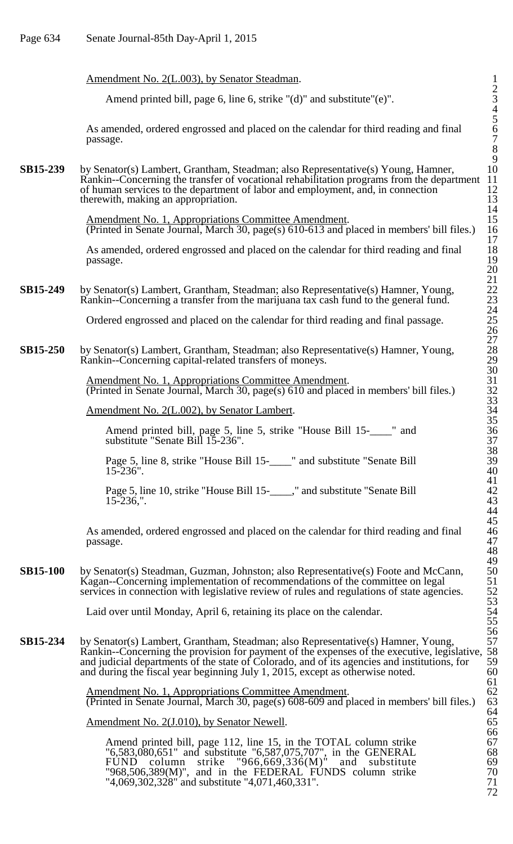## Amendment No. 2(L.003), by Senator Steadman.

Amend printed bill, page 6, line 6, strike "(d)" and substitute"(e)".

As amended, ordered engrossed and placed on the calendar for third reading and final 6  $p$ assage.  $7$ 

**SB15-239** by Senator(s) Lambert, Grantham, Steadman; also Representative(s) Young, Hamner, 10<br>Rankin--Concerning the transfer of vocational rehabilitation programs from the department 11 Rankin--Concerning the transfer of vocational rehabilitation programs from the department 11 of human services to the department of labor and employment, and, in connection 12 therewith, making an appropriation. of human services to the department of labor and employment, and, in connection 12 therewith, making an appropriation.

> Amendment No. 1, Appropriations Committee Amendment. 15 (Printed in Senate Journal, March 30, page(s) 610-613 and placed in members' bill files.) 16

> As amended, ordered engrossed and placed on the calendar for third reading and final  $p$ assage. 19

#### **SB15-249** by Senator(s) Lambert, Grantham, Steadman; also Representative(s) Hamner, Young, Rankin--Concerning a transfer from the marijuana tax cash fund to the general fund.

Ordered engrossed and placed on the calendar for third reading and final passage. 25

**SB15-250** by Senator(s) Lambert, Grantham, Steadman; also Representative(s) Hamner, Young, Rankin--Concerning capital-related transfers of moneys.

> Amendment No. 1, Appropriations Committee Amendment. 31 (Printed in Senate Journal, March 30, page(s) 610 and placed in members' bill files.) 32

Amendment No. 2(L.002), by Senator Lambert.

Amend printed bill, page 5, line 5, strike "House Bill 15-\_\_\_\_" and substitute "Senate Bill 15-236".

Page 5, line 8, strike "House Bill 15-\_\_\_\_" and substitute "Senate Bill 39  $15-236"$ . 40

Page 5, line 10, strike "House Bill 15-\_\_\_\_," and substitute "Senate Bill 15-236,". 15-236,". 43

As amended, ordered engrossed and placed on the calendar for third reading and final passage. passage. 47

**SB15-100** by Senator(s) Steadman, Guzman, Johnston; also Representative(s) Foote and McCann, Kagan--Concerning implementation of recommendations of the committee on legal services in connection with legislative review of rules and regulations of state agencies.

Laid over until Monday, April 6, retaining its place on the calendar.

**SB15-234** by Senator(s) Lambert, Grantham, Steadman; also Representative(s) Hamner, Young, Rankin--Concerning the provision for payment of the expenses of the executive, legislative, and judicial departments of the state of Colorado, and of its agencies and institutions, for  $\frac{59}{60}$  and during the fiscal year beginning July 1, 2015, except as otherwise noted. and during the fiscal year beginning July 1, 2015, except as otherwise noted.

> Amendment No. 1, Appropriations Committee Amendment. (Printed in Senate Journal, March 30, page(s) 608-609 and placed in members' bill files.)

Amendment No. 2(J.010), by Senator Newell.

Amend printed bill, page 112, line 15, in the TOTAL column strike 67 "6,583,080,651" and substitute "6,587,075,707", in the GENERAL 68 FUND column strike "966,669,336 $(M)$ " and substitute 69 "968,506,389 $(M)$ ", and in the FEDERAL FUNDS column strike  $70$ "4,069,302,328" and substitute "4,071,460,331". 71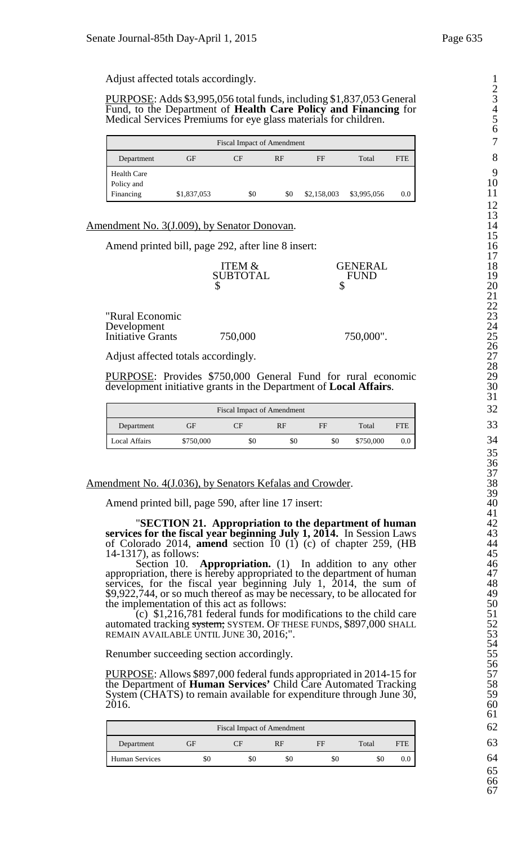Adjust affected totals accordingly. 1

PURPOSE: Adds \$3,995,056 total funds, including \$1,837,053 General Fund, to the Department of **Health Care Policy and Financing** for 4 Medical Services Premiums for eye glass materials for children. 5

|                         |             | <b>Fiscal Impact of Amendment</b> |     |             |             |            |
|-------------------------|-------------|-----------------------------------|-----|-------------|-------------|------------|
| Department              | GF          | CF                                | RF  | FF          | Total       | <b>FTE</b> |
| <b>Health Care</b>      |             |                                   |     |             |             |            |
| Policy and<br>Financing | \$1,837,053 | \$0                               | \$0 | \$2,158,003 | \$3,995,056 | $0.0\,$    |

Amendment No. 3(J.009), by Senator Donovan.

Amend printed bill, page 292, after line 8 insert:

| ITEM &          | <b>GENERAL</b>   | 1 I<br>18 |
|-----------------|------------------|-----------|
| <b>SUBTOTAL</b> | <b>TND</b><br>FТ | 19        |
| ۲IJ             | ۰D               | 20        |
|                 |                  |           |

| "Rural Economic   |         |           | 23            |
|-------------------|---------|-----------|---------------|
| Development       |         |           | 24            |
| Initiative Grants | 750,000 | 750,000". | 25            |
|                   |         |           | $\sim$ $\sim$ |

Adjust affected totals accordingly.

PURPOSE: Provides \$750,000 General Fund for rural economic development initiative grants in the Department of **Local Affairs**.

|                      | っっ        |     |     |     |           |            |          |
|----------------------|-----------|-----|-----|-----|-----------|------------|----------|
| Department           | GF        | CF  | RF  | FF  | Total     | <b>FTE</b> | 33       |
| <b>Local Affairs</b> | \$750,000 | \$0 | \$0 | \$0 | \$750,000 | 0.0        | 34<br>__ |

## Amendment No. 4(J.036), by Senators Kefalas and Crowder.

Amend printed bill, page 590, after line 17 insert:

<sup>41</sup> "**SECTION 21. Appropriation to the department of human** <sup>42</sup> **services for the fiscal year beginning July 1, 2014.** In Session Laws 43 of Colorado 2014, **amend** section 10 (1) (c) of chapter 259, (HB 44 14-1317), as follows:<br>Section 10.

Appropriation. (1) In addition to any other appropriation, there is hereby appropriated to the department of human services, for the fiscal year beginning July 1, 2014, the sum of \$9,922,744, or so much thereof as may be necessary, to be allocated for the implementation of this act as follows:

 $(c)$  \$1,216,781 federal funds for modifications to the child care automated tracking system; SYSTEM. OF THESE FUNDS, \$897,000 SHALL REMAIN AVAILABLE UNTIL JUNE 30, 2016;".

Renumber succeeding section accordingly.

PURPOSE: Allows \$897,000 federal funds appropriated in 2014-15 for<br>the Department of **Human Services'** Child Care Automated Tracking 58<br>System (CHATS) to remain available for expenditure through June 30, 59 the Department of **Human Services'** Child Care Automated Tracking 58 System (CHATS) to remain available for expenditure through June 30, 59<br>2016. 60  $2016.$  60

|                |     | <b>Fiscal Impact of Amendment</b> |     |     |       |            |
|----------------|-----|-----------------------------------|-----|-----|-------|------------|
| Department     | GF  | ΓF                                | RF  | FF  | Total | <b>FTE</b> |
| Human Services | \$0 | \$0                               | \$0 | \$0 | \$0   | 0.0        |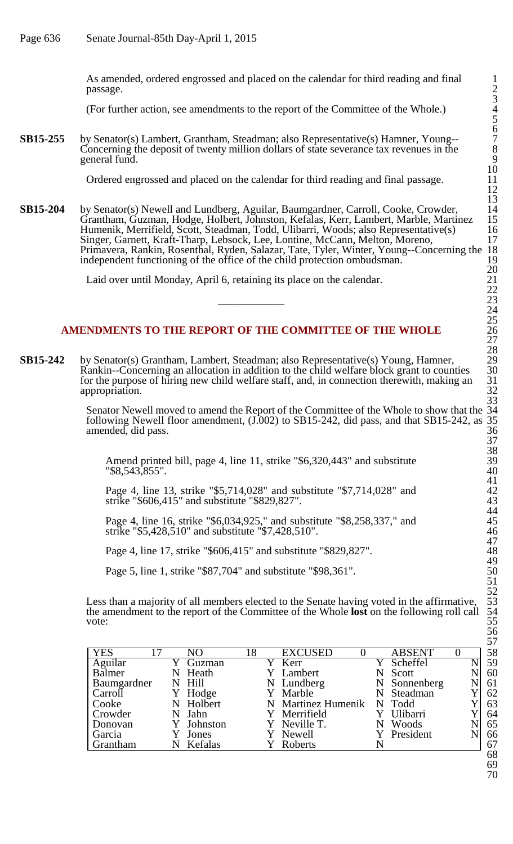As amended, ordered engrossed and placed on the calendar for third reading and final 1  $p$ assage.  $2$ 

(For further action, see amendments to the report of the Committee of the Whole.) 4

**SB15-255** by Senator(s) Lambert, Grantham, Steadman; also Representative(s) Hamner, Young--Concerning the deposit of twenty million dollars of state severance tax revenues in the general fund. 9

Ordered engrossed and placed on the calendar for third reading and final passage.

**SB15-204** by Senator(s) Newell and Lundberg, Aguilar, Baumgardner, Carroll, Cooke, Crowder, Grantham, Guzman, Hodge, Holbert, Johnston, Kefalas, Kerr, Lambert, Marble, Martinez 15 Humenik, Merrifield, Scott, Steadman, Todd, Ulibarri, Woods; also Representative(s) 16 Singer, Garnett, Kraft-Tharp, Lebsock, Lee, Lontine, McCann, Melton, Moreno, 17 Primavera, Rankin, Rosenthal, Ryden, Salazar, Tate, Tyler, Winter, Young--Concerning the 18 independent functioning of the office of the child protection ombudsman. 19

Laid over until Monday, April 6, retaining its place on the calendar. 21

## **AMENDMENTS TO THE REPORT OF THE COMMITTEE OF THE WHOLE** 26

**SB15-242** by Senator(s) Grantham, Lambert, Steadman; also Representative(s) Young, Hamner, 29 Rankin--Concerning an allocation in addition to the child welfare block grant to counties 30 for the purpose of hiring new child welfare staff, and, in connection therewith, making an 31 appropriation.  $\frac{32}{2}$ 

> Senator Newell moved to amend the Report of the Committee of the Whole to show that the 34 following Newell floor amendment, (J.002) to SB15-242, did pass, and that SB15-242, as 35 amended, did pass. 36

Amend printed bill, page 4, line 11, strike "\$6,320,443" and substitute 39 "\$8,543,855". 40

Page 4, line 13, strike "\$5,714,028" and substitute "\$7,714,028" and 42 strike "\$606,415" and substitute "\$829,827". 43

Page 4, line 16, strike "\$6,034,925," and substitute "\$8,258,337," and strike "\$5,428,510" and substitute "\$7,428,510".

Page 4, line 17, strike "\$606,415" and substitute "\$829,827".

Page 5, line 1, strike "\$87,704" and substitute "\$98,361".

Less than a majority of all members elected to the Senate having voted in the affirmative, the amendment to the report of the Committee of the Whole **lost** on the following roll call 54 vote:  $55$ 

| <b>YES</b>  | NO        | 18 | <b>EXCUSED</b>     | <b>ABSENT</b> |  | 58           |
|-------------|-----------|----|--------------------|---------------|--|--------------|
| Aguilar     | Guzman    |    | Kerr               | Scheffel      |  | 59           |
| Balmer      | Heath     |    | Y Lambert          | Scott         |  | 60           |
| Baumgardner | N Hill    |    | N Lundberg         | N Sonnenberg  |  | 61           |
| Carroll     | Hodge     |    | Y Marble           | Steadman      |  | 62           |
| Cooke       | N Holbert |    | N Martinez Humenik | N Todd        |  | 63           |
| Crowder     | Jahn      |    | Y Merrifield       | Ulibarri      |  | 64           |
| Donovan     | Johnston  |    | Y Neville T.       | Woods         |  | 65           |
| Garcia      | Jones     |    | Y Newell           | Y President   |  | 66           |
| Grantham    | Kefalas   |    | Roberts            |               |  | 67<br>$\sim$ |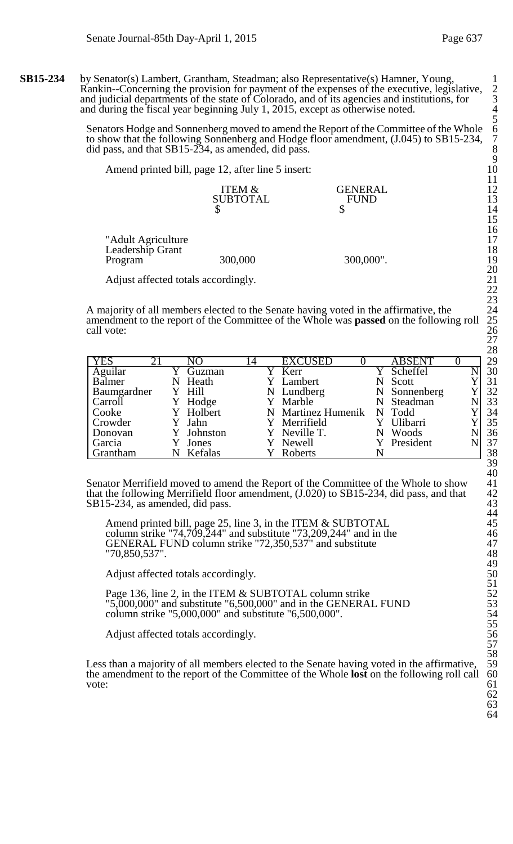Senators Hodge and Sonnenberg moved to amend the Report of the Committee of the Whole 6 to show that the following Sonnenberg and Hodge floor amendment, (J.045) to SB15-234, 7 did pass, and that  $SB15-234$ , as amended, did pass.

Amend printed bill, page 12, after line 5 insert:

| <b>GENERAL</b> | ְ   |
|----------------|-----|
| <b>FUND</b>    | 13  |
|                | - - |
|                |     |

"Adult Agriculture Leadership Grant<br>Program 300,000 Program 300,000 300,000".

Adjust affected totals accordingly.

A majority of all members elected to the Senate having voted in the affirmative, the amendment to the report of the Committee of the Whole was **passed** on the following roll call vote: call vote:  $26$ 

| <b>YES</b>  | 21 | NΩ         | 14 | <b>EXCUSED</b>     | <b>ABSENT</b> |  | 29 |
|-------------|----|------------|----|--------------------|---------------|--|----|
| Aguilar     |    | Guzman     |    | Kerr               | Scheffel      |  | 30 |
| Balmer      |    | Heath      |    | Lambert            | Scott         |  | 31 |
| Baumgardner |    | Y Hill     |    | N Lundberg         | N Sonnenberg  |  | 32 |
| Carroll     |    | Hodge      |    | Y Marble           | N Steadman    |  | 33 |
| Cooke       |    | Y Holbert  |    | N Martinez Humenik | N Todd        |  | 34 |
| Crowder     |    | Jahn       |    | Merrifield         | Ulibarri      |  | 35 |
| Donovan     |    | Y Johnston |    | Y Neville T.       | Woods         |  | 36 |
| Garcia      |    | Jones      |    | Y Newell           | Y President   |  | 37 |
| Grantham    |    | Kefalas    |    | <b>Roberts</b>     |               |  | 38 |

Senator Merrifield moved to amend the Report of the Committee of the Whole to show 41 that the following Merrifield floor amendment,  $(J.020)$  to SB15-234, did pass, and that  $SB15-234$ , as amended, did pass.

Amend printed bill, page 25, line 3, in the ITEM & SUBTOTAL 45 column strike "74,709,244" and substitute "73,209,244" and in the  $46$ GENERAL FUND column strike "72,350,537" and substitute 47 "70,850,537". 48

Adjust affected totals accordingly.

Page 136, line 2, in the ITEM & SUBTOTAL column strike  $"5,000,000"$  and substitute  $"6,500,000"$  and in the GENERAL FUND column strike "5,000,000" and substitute "6,500,000".

Adjust affected totals accordingly.

Less than a majority of all members elected to the Senate having voted in the affirmative, the amendment to the report of the Committee of the Whole **lost** on the following roll call 60<br>vote: 61 vote:  $\qquad \qquad 61$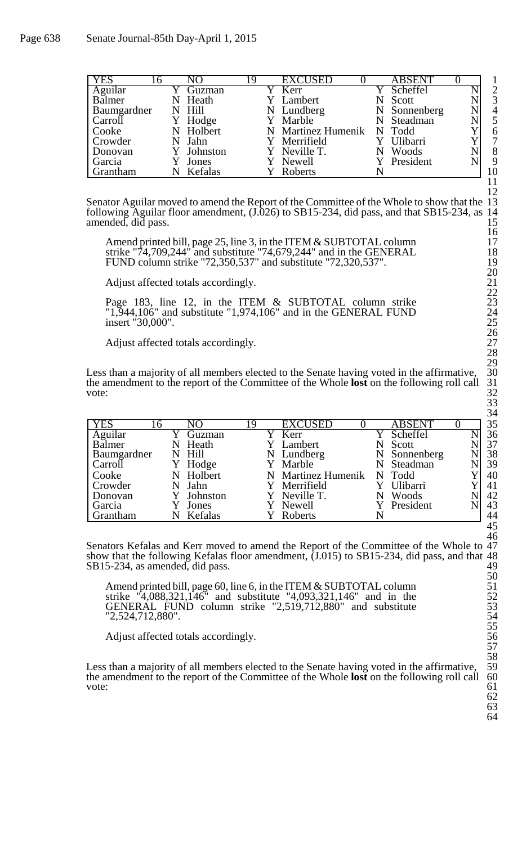| <b>YES</b>  | 16 |   | NO         | 19 | <b>EXCUSED</b>            | <b>ABSENT</b> |                |
|-------------|----|---|------------|----|---------------------------|---------------|----------------|
| Aguilar     |    |   | Guzman     |    | Kerr                      | Scheffel      | $\overline{2}$ |
| Balmer      |    | N | Heath      |    | Y Lambert                 | Scott         | 3              |
| Baumgardner |    |   | N Hill     |    | N Lundberg                | N Sonnenberg  | $\overline{4}$ |
| Carroll     |    |   | Y Hodge    |    | Y Marble                  | N Steadman    | 5              |
| Cooke       |    |   | N Holbert  |    | N Martinez Humenik N Todd |               | 6              |
| Crowder     |    |   | Jahn       |    | Y Merrifield              | Ulibarri      | 7              |
| Donovan     |    |   | Y Johnston |    | Y Neville T.              | Woods         | 8              |
| Garcia      |    |   | Jones      |    | Y Newell                  | President     | 9              |
| Grantham    |    |   | Kefalas    |    | Roberts                   |               | 10             |

Senator Aguilar moved to amend the Report of the Committee of the Whole to show that the 13 following Aguilar floor amendment, (J.026) to SB15-234, did pass, and that SB15-234, as 14 following Aguilar floor amendment, (J.026) to SB15-234, did pass, and that SB15-234, as 14 amended, did pass.

Amend printed bill, page 25, line 3, in the ITEM & SUBTOTAL column 17 strike "74,709,244" and substitute "74,679,244" and in the GENERAL 18 FUND column strike "72,350,537" and substitute "72,320,537". 19

Adjust affected totals accordingly.

Page 183, line 12, in the ITEM & SUBTOTAL column strike 23 "1,944,106" and substitute "1,974,106" and in the GENERAL FUND 24 insert "30,000".

Adjust affected totals accordingly.

Less than a majority of all members elected to the Senate having voted in the affirmative, the amendment to the report of the Committee of the Whole **lost** on the following roll call 31 vote:  $32$ 

|                             |            |   |                    |   |               | ິ  |
|-----------------------------|------------|---|--------------------|---|---------------|----|
| <b>YES</b>                  | NO         | 9 | <b>EXCUSED</b>     |   | <b>ABSENT</b> | 35 |
| $\overline{\text{Aguilar}}$ | Guzman     |   | Kerr               |   | Scheffel      | 36 |
| Balmer                      | N Heath    |   | Y Lambert          |   | N Scott       | 37 |
| Baumgardner                 | N Hill     |   | N Lundberg         |   | N Sonnenberg  | 38 |
| Carroll                     | Hodge      |   | Y Marble           |   | N Steadman    | 39 |
| Cooke                       | N Holbert  |   | N Martinez Humenik |   | N Todd        | 40 |
| Crowder                     | N Jahn     |   | Y Merrifield       |   | Y Ulibarri    | 41 |
| Donovan                     | Y Johnston |   | Y Neville T.       | N | Woods         | 42 |
| Garcia                      | Jones      |   | Y Newell           |   | Y President   | 43 |
| Grantham                    | Kefalas    |   | Roberts            |   |               | 44 |

Senators Kefalas and Kerr moved to amend the Report of the Committee of the Whole to 47 show that the following Kefalas floor amendment, (J.015) to SB15-234, did pass, and that 48 SB15-234, as amended, did pass.

Amend printed bill, page 60, line 6, in the ITEM & SUBTOTAL column 51 strike "4,088,321,146" and substitute "4,093,321,146" and in the 52 GENERAL FUND column strike "2,519,712,880" and substitute 53 "2,524,712,880".

Adjust affected totals accordingly.

Less than a majority of all members elected to the Senate having voted in the affirmative, 59 the amendment to the report of the Committee of the Whole **lost** on the following roll call 60 the amendment to the report of the Committee of the Whole **lost** on the following roll call 60<br>vote: 61 vote:  $\qquad \qquad 61$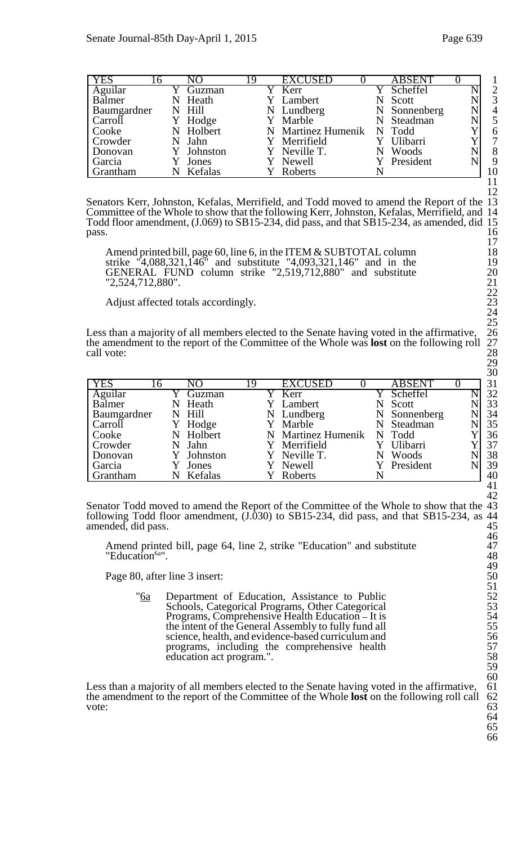| <b>YES</b>  | 16. |   | NΟ        | 19 | <b>EXCUSED</b>            | <b>ABSENT</b> |                |
|-------------|-----|---|-----------|----|---------------------------|---------------|----------------|
| Aguilar     |     |   | Guzman    |    | Kerr                      | Scheffel      | $\overline{2}$ |
| Balmer      |     | N | Heath     |    | Y Lambert                 | Scott         | 3              |
| Baumgardner |     |   | N Hill    |    | N Lundberg                | N Sonnenberg  | $\overline{4}$ |
| Carroll     |     | Y | Hodge     |    | Y Marble                  | N Steadman    |                |
| Cooke       |     |   | N Holbert |    | N Martinez Humenik N Todd |               | 6              |
| Crowder     |     |   | N Jahn    |    | Y Merrifield              | Ulibarri      | 7              |
| Donovan     |     |   | Johnston  |    | Y Neville T.              | Woods         | 8              |
| Garcia      |     |   | Jones     |    | Y Newell                  | Y President   | 9              |
| Grantham    |     |   | Kefalas   |    | Roberts                   |               | 10             |

Senators Kerr, Johnston, Kefalas, Merrifield, and Todd moved to amend the Report of the Committee of the Whole to show that the following Kerr, Johnston, Kefalas, Merrifield, and 14 Todd floor amendment, (J.069) to SB15-234, did pass, and that SB15-234, as amended, did 15  $pass.$  16

Amend printed bill, page 60, line 6, in the ITEM & SUBTOTAL column 18 strike "4,088,321,146" and substitute "4,093,321,146" and in the 19 GENERAL FUND column strike  $"2,519,712,880"$  and substitute "2,524,712,880".

Adjust affected totals accordingly.

Less than a majority of all members elected to the Senate having voted in the affirmative, the amendment to the report of the Committee of the Whole was **lost** on the following roll call vote: call vote:  $28$ 

| <b>YES</b>  | 16 | NO         | 19 | <b>EXCUSED</b>     |   | <b>ABSENT</b> |  | 31 |
|-------------|----|------------|----|--------------------|---|---------------|--|----|
| Aguilar     |    | Guzman     |    | Y Kerr             |   | Y Scheffel    |  | 32 |
| Balmer      | N  | Heath      |    | Y Lambert          |   | Scott         |  | 33 |
| Baumgardner |    | N Hill     |    | N Lundberg         |   | N Sonnenberg  |  | 34 |
| Carroll     | Y  | Hodge      |    | Y Marble           |   | N Steadman    |  | 35 |
| Cooke       | N  | Holbert    |    | N Martinez Humenik |   | N Todd        |  | 36 |
| Crowder     |    | Jahn       |    | Y Merrifield       |   | Ulibarri      |  | 37 |
| Donovan     |    | Y Johnston |    | Y Neville T.       | N | Woods         |  | 38 |
| Garcia      |    | Jones      |    | Y Newell           |   | President     |  | 39 |
| Grantham    | N  | Kefalas    |    | Roberts            |   |               |  | 40 |

Senator Todd moved to amend the Report of the Committee of the Whole to show that the 43 following Todd floor amendment, (J.030) to SB15-234, did pass, and that SB15-234, as 44 following Todd floor amendment,  $(J.\overline{0}30)$  to SB15-234, did pass, and that SB15-234, as amended, did pass.

Amend printed bill, page 64, line 2, strike "Education" and substitute 47 "Education<sup>6a"</sup>.  $48$ 

Page 80, after line 3 insert:

" $6a$  Department of Education, Assistance to Public Schools, Categorical Programs, Other Categorical Programs, Comprehensive Health Education -- It is the intent of the General Assembly to fully fund all science, health, and evidence-based curriculum and programs, including the comprehensive health education act program.".

Less than a majority of all members elected to the Senate having voted in the affirmative, the amendment to the report of the Committee of the Whole **lost** on the following roll call 62<br>vote: 63 vote:  $\frac{1}{2}$  63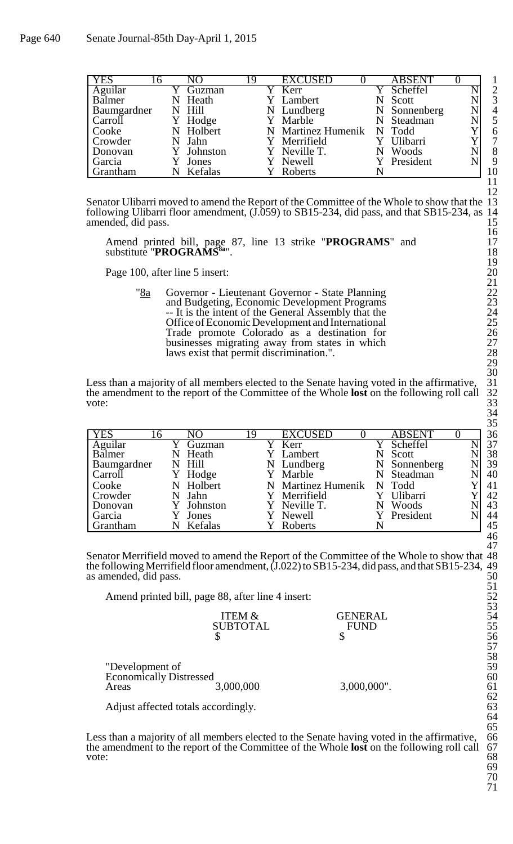| <b>YES</b>        | 16 | NO.        | 19 | <b>EXCUSED</b>            | <b>ABSENT</b> |   |                |
|-------------------|----|------------|----|---------------------------|---------------|---|----------------|
| Aguilar<br>Balmer |    | Guzman     |    | Y Kerr                    | Y Scheffel    |   |                |
|                   |    | Heath      |    | Y Lambert                 | Scott         |   | 3              |
| Baumgardner       |    | N Hill     |    | N Lundberg                | N Sonnenberg  | N | $\overline{4}$ |
| Carroll           |    | Y Hodge    |    | Y Marble                  | N Steadman    |   |                |
| Cooke             |    | N Holbert  |    | N Martinez Humenik N Todd |               |   |                |
| Crowder           |    | Jahn       |    | Y Merrifield              | Ulibarri      |   |                |
| Donovan           |    | Y Johnston |    | Y Neville T.              | Woods<br>N    |   | 8              |
| Garcia            |    | Jones      |    | Newell                    | President     |   | 9              |
| Grantham          | N  | Kefalas    |    | Roberts                   |               |   | 10             |

Senator Ulibarri moved to amend the Report of the Committee of the Whole to show that the following Ulibarri floor amendment,  $(J.\overline{059})$  to SB15-234, did pass, and that SB15-234, as amended, did pass.

Amend printed bill, page 87, line 13 strike "PROGRAMS" and 17 substitute "PROGRAMS<sup>8a</sup>". 18

Page 100, after line 5 insert:

"8a Governor - Lieutenant Governor - State Planning 22 and Budgeting, Economic Development Programs -- It is the intent of the General Assembly that the Office of Economic Development and International 25 Trade promote Colorado as a destination for 26 businesses migrating away from states in which 27 laws exist that permit discrimination.". 28

Less than a majority of all members elected to the Senate having voted in the affirmative, the amendment to the report of the Committee of the Whole **lost** on the following roll call 32 vote:  $33$ 

| <b>YES</b><br>16     |   | NO         | 19 | <b>EXCUSED</b>     |   | <b>ABSENT</b> |  | 36 |
|----------------------|---|------------|----|--------------------|---|---------------|--|----|
| $Agui\overline{lar}$ |   | Guzman     |    | Y Kerr             |   | Y Scheffel    |  | 37 |
| Balmer               | N | Heath      |    | Y Lambert          | N | Scott         |  | 38 |
| Baumgardner          |   | N Hill     |    | N Lundberg         |   | N Sonnenberg  |  | 39 |
| Carroll              |   | Hodge      |    | Y Marble           |   | N Steadman    |  | 40 |
| Cooke                |   | N Holbert  |    | N Martinez Humenik |   | N Todd        |  | 41 |
| Crowder              |   | Jahn       |    | Y Merrifield       |   | Ulibarri      |  | 42 |
| Donovan              |   | Y Johnston |    | Y Neville T.       |   | Woods         |  | 43 |
| Garcia               |   | Jones      |    | Newell             |   | Y President   |  | 44 |
| <b>Grantham</b>      |   | Kefalas    |    | <b>Roberts</b>     |   |               |  | 45 |

Senator Merrifield moved to amend the Report of the Committee of the Whole to show that 48 the following Merrifield floor amendment, (J.022) to SB15-234, did pass, and that SB15-234, 49 as amended, did pass. 50

Amend printed bill, page 88, after line 4 insert: 52

|                                | <b>ITEM &amp;</b> | GENERAL     | 54 |
|--------------------------------|-------------------|-------------|----|
|                                | <b>SUBTOTAL</b>   | <b>FUND</b> | 55 |
|                                |                   |             | 56 |
|                                |                   |             | 57 |
|                                |                   |             | 58 |
| "Development of                |                   |             | 59 |
| <b>Economically Distressed</b> |                   |             | 60 |
| Areas                          | 3,000,000         | 3,000,000". | 61 |
|                                |                   |             | 62 |

Adjust affected totals accordingly. 63

Less than a majority of all members elected to the Senate having voted in the affirmative, 66 the amendment to the report of the Committee of the Whole **lost** on the following roll call 67 vote: 68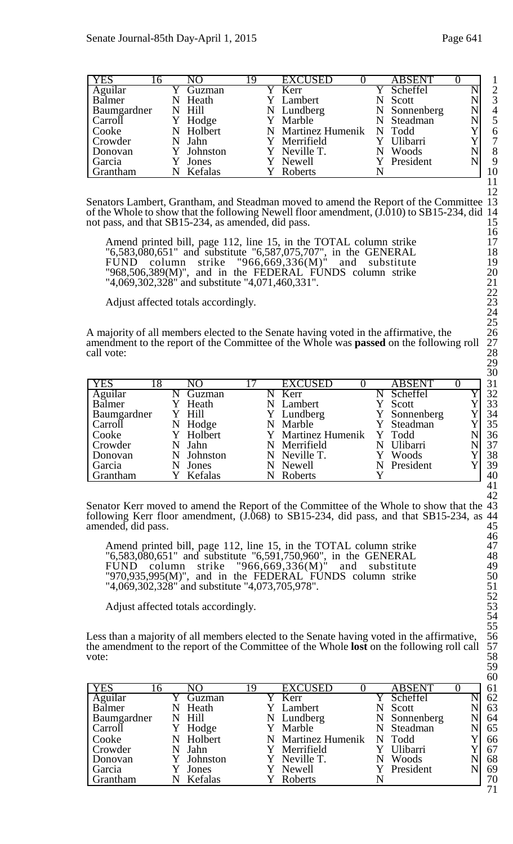| <b>YES</b>  | რ | NO         | 19 | <b>EXCUSED</b>            | <b>ABSENT</b> |  |                |
|-------------|---|------------|----|---------------------------|---------------|--|----------------|
| Aguilar     |   | Guzman     |    | $\overline{Y}$ Kerr       | Scheffel      |  | $\overline{2}$ |
| Balmer      | N | Heath      |    | Y Lambert                 | Scott         |  | 3              |
| Baumgardner |   | N Hill     |    | N Lundberg                | N Sonnenberg  |  | $\overline{4}$ |
| Carroll     |   | Hodge      |    | Y Marble                  | N Steadman    |  |                |
| Cooke       |   | N Holbert  |    | N Martinez Humenik N Todd |               |  | 6              |
| Crowder     |   | N Jahn     |    | Y Merrifield              | Ulibarri      |  | 7              |
| Donovan     |   | Y Johnston |    | Y Neville T.              | Woods         |  | 8              |
| Garcia      |   | Jones      |    | Y Newell                  | Y President   |  | 9              |
| Grantham    |   | Kefalas    |    | Roberts                   |               |  | 10             |

Senators Lambert, Grantham, and Steadman moved to amend the Report of the Committee of the Whole to show that the following Newell floor amendment, (J.010) to SB15-234, did 14 not pass, and that SB15-234, as amended, did pass. 15

Amend printed bill, page 112, line 15, in the TOTAL column strike 17 "6,583,080,651" and substitute "6,587,075,707", in the GENERAL 18 FUND column strike "966,669,336 $(M)$ " and substitute 19  $"968,506,389(M)$ ", and in the FEDERAL FUNDS column strike  $"4,069,302,328"$  and substitute  $"4,071,460,331"$ .

Adjust affected totals accordingly.

A majority of all members elected to the Senate having voted in the affirmative, the amendment to the report of the Committee of the Whole was **passed** on the following roll call vote:  $28$ 

| <b>YES</b>  | 18 | NО        | <b>EXCUSED</b>     |   | <b>ABSENT</b> | 31 |
|-------------|----|-----------|--------------------|---|---------------|----|
| Aguilar     |    | Guzman    | Kerr               |   | Scheffel      | 32 |
| Balmer      |    | Heath     | N Lambert          |   | Scott         | 33 |
| Baumgardner |    | Y Hill    | Y Lundberg         |   | Y Sonnenberg  | 34 |
| Carroll     | N  | Hodge     | N Marble           |   | Y Steadman    | 35 |
| Cooke       |    | Y Holbert | Y Martinez Humenik |   | Y Todd        | 36 |
| Crowder     |    | Jahn      | N Merrifield       | N | Ulibarri      | 37 |
| Donovan     | N  | Johnston  | N Neville T.       |   | Woods         | 38 |
| Garcia      |    | Jones     | N Newell           |   | N President   | 39 |
| Grantham    |    | Kefalas   | Roberts            |   |               | 40 |

Senator Kerr moved to amend the Report of the Committee of the Whole to show that the 43 following Kerr floor amendment, (J.068) to SB15-234, did pass, and that SB15-234, as 44 following Kerr floor amendment,  $(J.\hat{0}68)$  to SB15-234, did pass, and that SB15-234, as 44 amended, did pass. amended, did pass.

Amend printed bill, page 112, line 15, in the TOTAL column strike 47 "6,583,080,651" and substitute "6,591,750,960", in the GENERAL 48 FUND column strike "966,669,336 $(M)$ " and substitute 49  $"970,935,995(M)$ ", and in the FEDERAL FUNDS column strike  $"4,069,302,328"$  and substitute  $"4,073,705,978"$ .

Adjust affected totals accordingly.

Less than a majority of all members elected to the Senate having voted in the affirmative, the amendment to the report of the Committee of the Whole **lost** on the following roll call 57<br>vote: 58 vote: 58

| <b>YES</b>  | N <sub>O</sub> | 19 | <b>EXCUSED</b>     |   | <b>ABSENT</b> |  | 61 |
|-------------|----------------|----|--------------------|---|---------------|--|----|
| Aguilar     | Guzman         |    | Y Kerr             |   | Scheffel      |  | 62 |
| Balmer      | Heath          |    | Lambert            |   | Scott         |  | 63 |
| Baumgardner | N Hill         |    | N Lundberg         |   | N Sonnenberg  |  | 64 |
| Carroll     | Y Hodge        |    | Y Marble           |   | N Steadman    |  | 65 |
| Cooke       | N Holbert      |    | N Martinez Humenik |   | N Todd        |  | 66 |
| Crowder     | Jahn           |    | Merrifield         |   | Ulibarri      |  | 67 |
| Donovan     | Johnston       |    | Y Neville T.       | N | Woods         |  | 68 |
| Garcia      | Jones          |    | Newell             |   | President     |  | 69 |
| Grantham    | Kefalas        |    | Roberts            |   |               |  | 70 |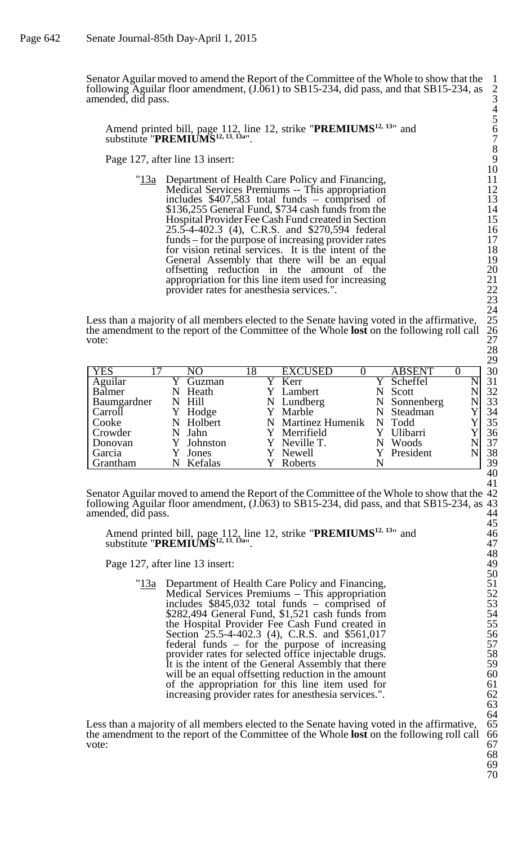Senator Aguilar moved to amend the Report of the Committee of the Whole to show that the 1 following Aguilar floor amendment,  $(J.061)$  to SB15-234, did pass, and that SB15-234, as amended, did pass. 3

Amend printed bill, page 112, line 12, strike "**PREMIUMS**<sup>12, 13</sup>" and 6 substitute "**PREMIUMS12, 13**, **13a**". 7

Page 127, after line 13 insert:

"13a Department of Health Care Policy and Financing, 11 Medical Services Premiums -- This appropriation includes  $$407,583$  total funds – comprised of \$136,255 General Fund, \$734 cash funds from the Hospital Provider Fee Cash Fund created in Section 15 25.5-4-402.3 (4), C.R.S. and \$270,594 federal 16 funds – for the purpose of increasing provider rates 17 for vision retinal services. It is the intent of the General Assembly that there will be an equal offsetting reduction in the amount of the appropriation for this line item used for increasing 21 provider rates for anesthesia services.".

Less than a majority of all members elected to the Senate having voted in the affirmative, the amendment to the report of the Committee of the Whole **lost** on the following roll call 26 vote:  $27$ 

| <b>YES</b>  | NΟ         | 18 | <b>EXCUSED</b>     | <b>ABSENT</b> |  | 30 |
|-------------|------------|----|--------------------|---------------|--|----|
| Aguilar     | Guzman     |    | Kerr               | Scheffel      |  | 31 |
| Balmer      | N Heath    |    | Y Lambert          | Scott         |  | 32 |
| Baumgardner | N Hill     |    | N Lundberg         | N Sonnenberg  |  | 33 |
| Carroll     | Hodge      |    | Y Marble           | N Steadman    |  | 34 |
| Cooke       | N Holbert  |    | N Martinez Humenik | N Todd        |  | 35 |
| Crowder     | N Jahn     |    | Y Merrifield       | Ulibarri      |  | 36 |
| Donovan     | Y Johnston |    | Y Neville T.       | Woods         |  | 37 |
| Garcia      | Jones      |    | Y Newell           | Y President   |  | 38 |
| Grantham    | Kefalas    |    | Roberts            |               |  | 39 |

Senator Aguilar moved to amend the Report of the Committee of the Whole to show that the 42 following Aguilar floor amendment, (J.063) to SB15-234, did pass, and that SB15-234, as 43 amended, did pass.

Amend printed bill, page 112, line 12, strike "**PREMIUMS**<sup>12, 13</sup>" and 46 substitute "**PREMIUMS12, 13**, **13a**". 47

Page 127, after line 13 insert:

"13a Department of Health Care Policy and Financing, Medical Services Premiums – This appropriation 52 includes  $$845,032$  total funds – comprised of 53  $$282,494$  General Fund,  $$1,521$  cash funds from the Hospital Provider Fee Cash Fund created in 55 Section 25.5-4-402.3 (4), C.R.S. and \$561,017 56  $federal$  funds  $-$  for the purpose of increasing provider rates for selected office injectable drugs. It is the intent of the General Assembly that there will be an equal offsetting reduction in the amount of the appropriation for this line item used for increasing provider rates for anesthesia services.".

Less than a majority of all members elected to the Senate having voted in the affirmative, 65 the amendment to the report of the Committee of the Whole **lost** on the following roll call 66 vote: the amendment to the report of the Committee of the Whole **lost** on the following roll call 66 vote:  $\frac{1}{2}$  67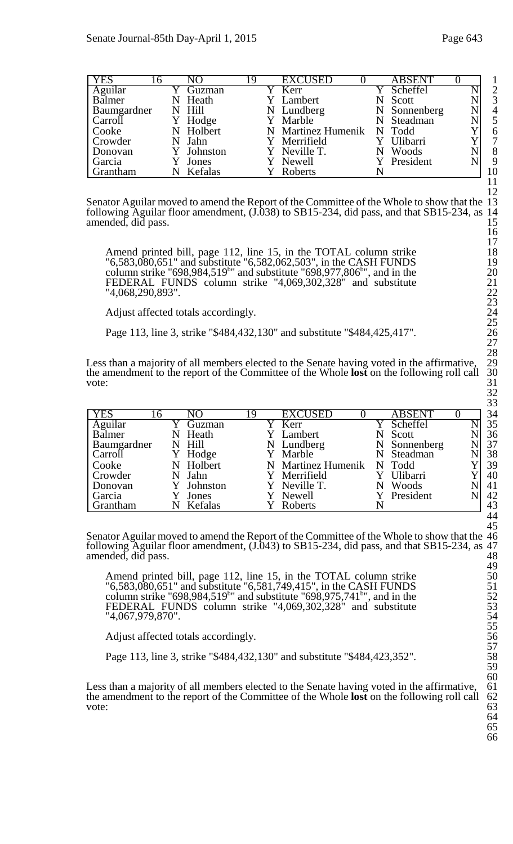| Page 643 |
|----------|
|          |

| <b>YES</b>  | l 6 |   | NΟ        | 19 | <b>EXCUSED</b>            | <b>ABSENT</b> |  |                |
|-------------|-----|---|-----------|----|---------------------------|---------------|--|----------------|
| Aguilar     |     |   | Guzman    |    | Y Kerr                    | Y Scheffel    |  | $\overline{2}$ |
| Balmer      |     | N | Heath     |    | Y Lambert                 | Scott         |  | 3              |
| Baumgardner |     |   | N Hill    |    | N Lundberg                | N Sonnenberg  |  | $\overline{4}$ |
| Carroll     |     |   | Hodge     |    | Y Marble                  | N Steadman    |  | 5              |
| Cooke       |     |   | N Holbert |    | N Martinez Humenik N Todd |               |  | 6              |
| Crowder     |     |   | N Jahn    |    | Y Merrifield              | Ulibarri      |  | $\overline{7}$ |
| Donovan     |     |   | Johnston  |    | Y Neville T.              | Woods         |  | 8              |
| Garcia      |     |   | Jones     |    | Y Newell                  | Y President   |  | 9              |
| Grantham    |     |   | Kefalas   |    | Roberts                   |               |  | 10             |

Senator Aguilar moved to amend the Report of the Committee of the Whole to show that the 13 following Aguilar floor amendment, (J.038) to SB15-234, did pass, and that SB15-234, as 14 following Aguilar floor amendment, (J.038) to SB15-234, did pass, and that SB15-234, as 14 amended, did pass.

Amend printed bill, page 112, line 15, in the TOTAL column strike 18 "6,583,080,651" and substitute "6,582,062,503", in the CASH FUNDS 19 column strike "698,984,519<sup>b</sup>" and substitute "698,977,806<sup>b</sup>", and in the  $20$ FEDERAL FUNDS column strike "4,069,302,328" and substitute "4,068,290,893".

Adjust affected totals accordingly.

Page 113, line 3, strike "\$484,432,130" and substitute "\$484,425,417".

Less than a majority of all members elected to the Senate having voted in the affirmative, the amendment to the report of the Committee of the Whole **lost** on the following roll call vote: vote:  $\frac{1}{31}$ 

|                   |   |           |    |                    |               |  | ັບ |
|-------------------|---|-----------|----|--------------------|---------------|--|----|
| <b>YES</b><br>  რ |   | NO        | 19 | <b>EXCUSED</b>     | <b>ABSENT</b> |  | 34 |
| Aguilar           |   | Guzman    |    | Y Kerr             | Y Scheffel    |  | 35 |
| Balmer            | N | Heath     |    | Y Lambert          | Scott         |  | 36 |
| Baumgardner       |   | N Hill    |    | N Lundberg         | N Sonnenberg  |  | 37 |
| Carroll           |   | Hodge     |    | Y Marble           | N Steadman    |  | 38 |
| Cooke             |   | N Holbert |    | N Martinez Humenik | N Todd        |  | 39 |
| Crowder           |   | N Jahn    |    | Y Merrifield       | Y Ulibarri    |  | 40 |
| Donovan           |   | Johnston  |    | Y Neville T.       | Woods         |  | 41 |
| Garcia            |   | Jones     |    | Y Newell           | Y President   |  | 42 |
| <b>Grantham</b>   |   | Kefalas   |    | Roberts            |               |  | 43 |

Senator Aguilar moved to amend the Report of the Committee of the Whole to show that the 46 following Aguilar floor amendment, (J.043) to SB15-234, did pass, and that SB15-234, as 47 amended, did pass. 48

Amend printed bill, page 112, line 15, in the TOTAL column strike 50 "6,583,080,651" and substitute "6,581,749,415", in the CASH FUNDS 51 column strike "698,984,519<sup>b</sup>" and substitute "698,975,741<sup>b</sup>", and in the 52 FEDERAL FUNDS column strike "4,069,302,328" and substitute 53 "4,067,979,870". 54

Adjust affected totals accordingly.

Page 113, line 3, strike "\$484,432,130" and substitute "\$484,423,352".

Less than a majority of all members elected to the Senate having voted in the affirmative, the amendment to the report of the Committee of the Whole **lost** on the following roll call 62<br>vote: 63 vote:  $\frac{1}{2}$  63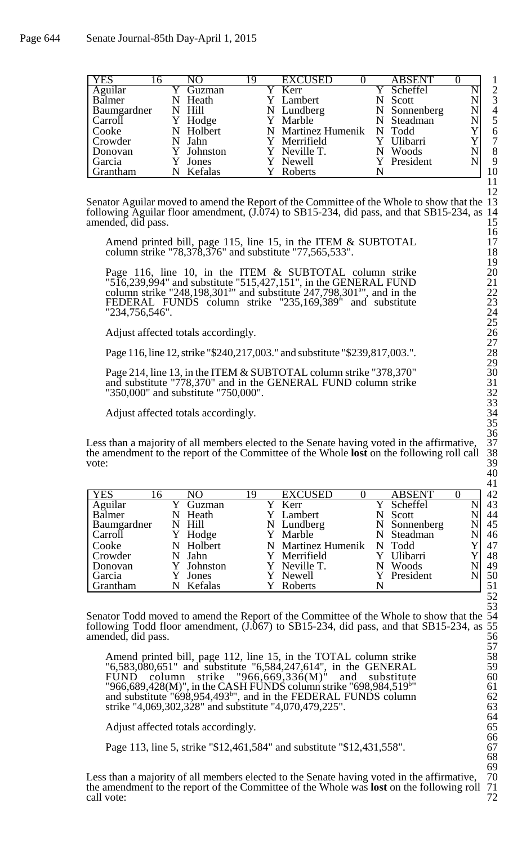| <b>YES</b>        | 16 |   | NO                | 19 | <b>EXCUSED</b>            | <b>ABSENT</b> |                |
|-------------------|----|---|-------------------|----|---------------------------|---------------|----------------|
|                   |    |   | Guzman            |    | Kerr                      | Scheffel      | $\overline{2}$ |
| Aguilar<br>Balmer |    |   | Heath             |    | Y Lambert                 |               | 3              |
|                   |    | N |                   |    |                           | Scott         |                |
| Baumgardner       |    |   | N Hill            |    | N Lundberg                | N Sonnenberg  | $\overline{4}$ |
| Carroll           |    |   | Y Hodge           |    | Y Marble                  | N Steadman    | 5              |
| Cooke             |    |   | N Holbert         |    | N Martinez Humenik N Todd |               | 6              |
| Crowder           |    |   | <sup>:</sup> Jahn |    | Y Merrifield              | Ulibarri      | 7              |
| Donovan           |    |   | Y Johnston        |    | Y Neville T.              | Woods         | 8              |
| Garcia            |    |   | Jones             |    | Y Newell                  | Y President   | 9              |
| Grantham          |    |   | Kefalas           |    | Roberts                   |               | 10             |

Senator Aguilar moved to amend the Report of the Committee of the Whole to show that the 13 following Aguilar floor amendment, (J.074) to SB15-234, did pass, and that SB15-234, as 14 following Aguilar floor amendment, (J.074) to SB15-234, did pass, and that SB15-234, as 14 amended, did pass.

Amend printed bill, page 115, line 15, in the ITEM & SUBTOTAL 17 column strike "78,378,376" and substitute "77,565,533". 18

Page 116, line 10, in the ITEM & SUBTOTAL column strike 20 "516,239,994" and substitute "515,427,151", in the GENERAL FUND 21 column strike "248,198,301<sup>a</sup>" and substitute  $247,798,301$ <sup>a</sup>", and in the  $22$ FEDERAL FUNDS column strike "235,169,389" and substitute 23 "234,756,546". 24

Adjust affected totals accordingly.

Page 116, line 12, strike "\$240,217,003." and substitute "\$239,817,003.".

Page 214, line 13, in the ITEM & SUBTOTAL column strike "378,370" 30 and substitute "778,370" and in the GENERAL FUND column strike 31 "350,000" and substitute "750,000". 32

Adjust affected totals accordingly.

Less than a majority of all members elected to the Senate having voted in the affirmative, the amendment to the report of the Committee of the Whole **lost** on the following roll call 38 vote:  $39$ 

| <b>YES</b>         | 16 |            | 19 | <b>EXCUSED</b>     |  | <b>ABSENT</b> |  | 42 |
|--------------------|----|------------|----|--------------------|--|---------------|--|----|
| Aguilar            |    | Guzman     |    | Kerr               |  | Scheffel      |  | 43 |
| <b>Balmer</b>      | N  | Heath      |    | Y Lambert          |  | Scott         |  | 44 |
| <b>Baumgardner</b> |    | N Hill     |    | N Lundberg         |  | N Sonnenberg  |  | 45 |
| Carroll            |    | Y Hodge    |    | Y Marble           |  | N Steadman    |  | 46 |
| Cooke              |    | N Holbert  |    | N Martinez Humenik |  | N Todd        |  | 47 |
| Crowder            | N  | Jahn       |    | Y Merrifield       |  | Ulibarri      |  | 48 |
| Donovan            |    | Y Johnston |    | Y Neville T.       |  | Woods         |  | 49 |
| Garcia             |    | Jones      |    | Y Newell           |  | Y President   |  | 50 |
| Grantham           |    | Kefalas    |    | Roberts            |  |               |  | 51 |

Senator Todd moved to amend the Report of the Committee of the Whole to show that the following Todd floor amendment,  $(J.067)$  to SB15-234, did pass, and that SB15-234, as amended, did pass.

Amend printed bill, page 112, line 15, in the TOTAL column strike 58 "6,583,080,651" and substitute "6,584,247,614", in the GENERAL 59 FUND column strike "966,669,336 $(M)$ " and substitute 60 "966,689,428(M)", in the CASH FUNDS column strike "698,984,519b" and substitute  $\frac{1}{698,954,493}$ , and in the FEDERAL FUNDS column 62 strike "4,069,302,328" and substitute "4,070,479,225".

Adjust affected totals accordingly.

Page 113, line 5, strike "\$12,461,584" and substitute "\$12,431,558".

Less than a majority of all members elected to the Senate having voted in the affirmative, 70 the amendment to the report of the Committee of the Whole was **lost** on the following roll 71 the amendment to the report of the Committee of the Whole was **lost** on the following roll 71 call vote:  $\frac{1}{2}$  72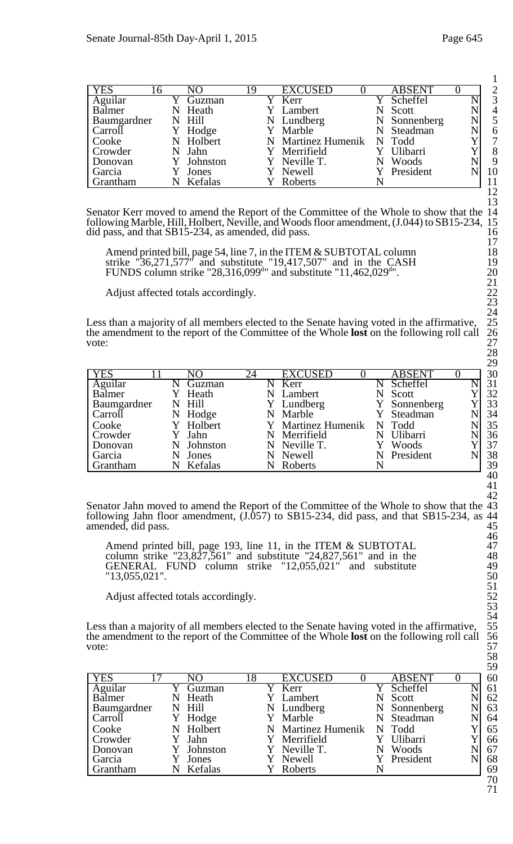| YES         |   |          | Q | <b>EXCUSED</b>            | <b>ABSENT</b> |   | $\overline{2}$ |
|-------------|---|----------|---|---------------------------|---------------|---|----------------|
| Aguilar     |   | Guzman   |   | Y Kerr                    | Y Scheffel    |   | 3              |
| Balmer      | N | Heath    |   | Y Lambert                 | Scott         |   | $\overline{4}$ |
| Baumgardner |   | N Hill   |   | N Lundberg                | N Sonnenberg  | N | 5              |
| Carroll     |   | Y Hodge  |   | Y Marble                  | Steadman      |   | 6              |
| Cooke       | N | Holbert  |   | N Martinez Humenik N Todd |               |   | 7              |
| Crowder     |   | N Jahn   |   | Y Merrifield              | Y Ulibarri    |   | 8              |
| Donovan     |   | Johnston |   | Y Neville T.              | Woods         |   | 9              |
| Garcia      |   | Jones    |   | Y Newell                  | Y President   |   | 10             |
| Grantham    |   | Kefalas  |   | Roberts                   |               |   |                |

Senator Kerr moved to amend the Report of the Committee of the Whole to show that the 14 following Marble, Hill, Holbert, Neville, and Woods floor amendment, (J.044) to SB15-234, 15 did pass, and that SB15-234, as amended, did pass. 16

Amend printed bill, page 54, line 7, in the ITEM & SUBTOTAL column 18 strike "36,271,577" and substitute "19,417,507" and in the CASH 19 FUNDS column strike "28,316,099<sup>d</sup>" and substitute "11,462,029<sup>d</sup>  $\frac{1}{20}$  . 20

Adjust affected totals accordingly.

Less than a majority of all members elected to the Senate having voted in the affirmative, the amendment to the report of the Committee of the Whole **lost** on the following roll call vote: vote:  $27$ 

| <b>YES</b>  |   | NО        | 24 | <b>EXCUSED</b>     |   | <b>ABSENT</b> |  |
|-------------|---|-----------|----|--------------------|---|---------------|--|
| Aguilar     |   | Guzman    |    | Kerr               |   | Scheffel      |  |
| Balmer      |   | Heath     |    | N Lambert          |   | Scott         |  |
| Baumgardner |   | N Hill    |    | Y Lundberg         |   | Y Sonnenberg  |  |
| Carroll     | N | Hodge     |    | N Marble           |   | Y Steadman    |  |
| Cooke       |   | Y Holbert |    | Y Martinez Humenik |   | N Todd        |  |
| Crowder     |   | Jahn      |    | N Merrifield       | N | Ulibarri      |  |
| Donovan     | N | Johnston  |    | N Neville T.       |   | Woods         |  |
| Garcia      |   | Jones     |    | N Newell           |   | N President   |  |
| Grantham    |   | Kefalas   |    | Roberts            |   |               |  |

Senator Jahn moved to amend the Report of the Committee of the Whole to show that the  $\overline{43}$  following Jahn floor amendment, (J.057) to SB15-234, did pass, and that SB15-234, as 44 following Jahn floor amendment,  $(J.\overline{057})$  to SB15-234, did pass, and that SB15-234, as amended, did pass.

Amend printed bill, page 193, line 11, in the ITEM & SUBTOTAL 47 column strike " $23,827,561$ " and substitute " $24,827,561$ " and in the 48 GENERAL FUND column strike "12,055,021" and substitute 49  $"13,055,021"$ . 50

Adjust affected totals accordingly.

Less than a majority of all members elected to the Senate having voted in the affirmative, 55 the amendment to the report of the Committee of the Whole **lost** on the following roll call 56 vote: the amendment to the report of the Committee of the Whole **lost** on the following roll call vote: vote:  $57$ 

| <b>YES</b>        | NO.      | 18 | <b>EXCUSED</b>          | <b>ABSENT</b> |  | 60                       |
|-------------------|----------|----|-------------------------|---------------|--|--------------------------|
| Aguilar<br>Balmer | Guzman   |    | Kerr                    | Scheffel      |  | 61                       |
|                   | Heath    |    | Lambert                 | Scott         |  | 62                       |
| Baumgardner       | N Hill   |    | N Lundberg              | N Sonnenberg  |  | 63                       |
| Carroll           | Y Hodge  |    | Y Marble                | Steadman      |  | 64                       |
| Cooke             | Holbert  |    | <b>Martinez Humenik</b> | N Todd        |  | 65                       |
| Crowder           | Y Jahn   |    | Y Merrifield            | Y Ulibarri    |  | 66                       |
| Donovan           | Johnston |    | Y Neville T.            | Woods         |  | 67                       |
| Garcia            | Jones    |    | Y Newell                | Y President   |  | 68                       |
| Grantham          | Kefalas  |    | Roberts                 |               |  | 69                       |
|                   |          |    |                         |               |  | $\overline{\phantom{0}}$ |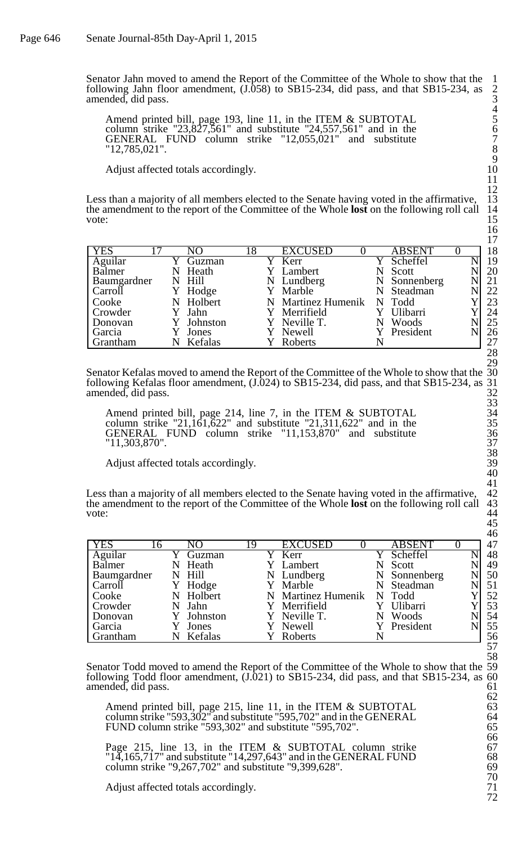Senator Jahn moved to amend the Report of the Committee of the Whole to show that the 1 following Jahn floor amendment,  $(1.058)$  to SB15-234, did pass, and that SB15-234, as amended, did pass.

Amend printed bill, page 193, line 11, in the ITEM & SUBTOTAL 5 column strike " $23,827,561$ " and substitute " $24,557,561$ " and in the 6 GENERAL FUND column strike "12,055,021" and substitute 7 "12,785,021". 8

Adjust affected totals accordingly.

Less than a majority of all members elected to the Senate having voted in the affirmative, 13 the amendment to the report of the Committee of the Whole **lost** on the following roll call 14 the amendment to the report of the Committee of the Whole **lost** on the following roll call 14<br>vote: vote:  $15$ 

|                             |    |            |    |                    |               |  | . . |
|-----------------------------|----|------------|----|--------------------|---------------|--|-----|
| <b>YES</b>                  |    | NO         | l8 | <b>EXCUSED</b>     | <b>ABSENT</b> |  | 18  |
| $\overline{\text{Aguilar}}$ |    | Guzman     |    | Kerr               | Scheffel      |  | 19  |
| Balmer                      | N  | Heath      |    | Y Lambert          | Scott         |  | 20  |
| Baumgardner                 |    | N Hill     |    | N Lundberg         | N Sonnenberg  |  | 21  |
| Carroll                     |    | Y Hodge    |    | Y Marble           | N Steadman    |  | 22  |
| Cooke                       |    | N Holbert  |    | N Martinez Humenik | N Todd        |  | 23  |
| Crowder                     |    | Jahn       |    | Y Merrifield       | Ulibarri      |  | 24  |
| Donovan                     |    | Y Johnston |    | Y Neville T.       | Woods         |  | 25  |
| Garcia                      |    | Jones      |    | Y Newell           | President     |  | 26  |
| Grantham                    | N. | Kefalas    |    | Roberts            |               |  | 27  |

Senator Kefalas moved to amend the Report of the Committee of the Whole to show that the 30 following Kefalas floor amendment,  $(J.\overline{0}24)$  to SB15-234, did pass, and that SB15-234, as amended, did pass.

Amend printed bill, page 214, line 7, in the ITEM  $&$  SUBTOTAL column strike "21,161,622" and substitute "21,311,622" and in the GENERAL FUND column strike "11,153,870" and substitute 36 "11,303,870". 37

Adjust affected totals accordingly.

Less than a majority of all members elected to the Senate having voted in the affirmative, the amendment to the report of the Committee of the Whole **lost** on the following roll call 43 vote: vote:  $44$ 

| <b>YES</b>     | 16 | NΟ        | 19 | <b>EXCUSED</b>     | <b>ABSENT</b> |  | 47 |
|----------------|----|-----------|----|--------------------|---------------|--|----|
| Aguilar        |    | Guzman    |    | Kerr               | Scheffel      |  | 48 |
| Balmer         | N  | Heath     |    | Y Lambert          | Scott         |  | 49 |
| Baumgardner    |    | N Hill    |    | N Lundberg         | N Sonnenberg  |  | 50 |
| Carroll        | Y  | Hodge     |    | Y Marble           | N Steadman    |  | 51 |
| Cooke          |    | N Holbert |    | N Martinez Humenik | N Todd        |  | 52 |
| <b>Crowder</b> | N  | Jahn      |    | Y Merrifield       | Ulibarri      |  | 53 |
| Donovan        |    | Johnston  |    | Y Neville T.       | Woods         |  | 54 |
| Garcia         |    | Jones     |    | Y Newell           | Y President   |  | 55 |
| Grantham       |    | Kefalas   |    | Roberts            |               |  | 56 |

Senator Todd moved to amend the Report of the Committee of the Whole to show that the 59 following Todd floor amendment, (J.021) to SB15-234, did pass, and that SB15-234, as 60 amended, did pass.

Amend printed bill, page 215, line 11, in the ITEM & SUBTOTAL 63 column strike "593,302" and substitute "595,702" and in the GENERAL 64 FUND column strike "593,302" and substitute "595,702". 65

Page 215, line 13, in the ITEM & SUBTOTAL column strike 67 " $14,165,717$ " and substitute " $14,297,643$ " and in the GENERAL FUND 68  $^{\circ}14,165,717^{\circ}$  and substitute "14,297,643" and in the GENERAL FUND 68<br>column strike "9,267,702" and substitute "9,399,628". 69

Adjust affected totals accordingly.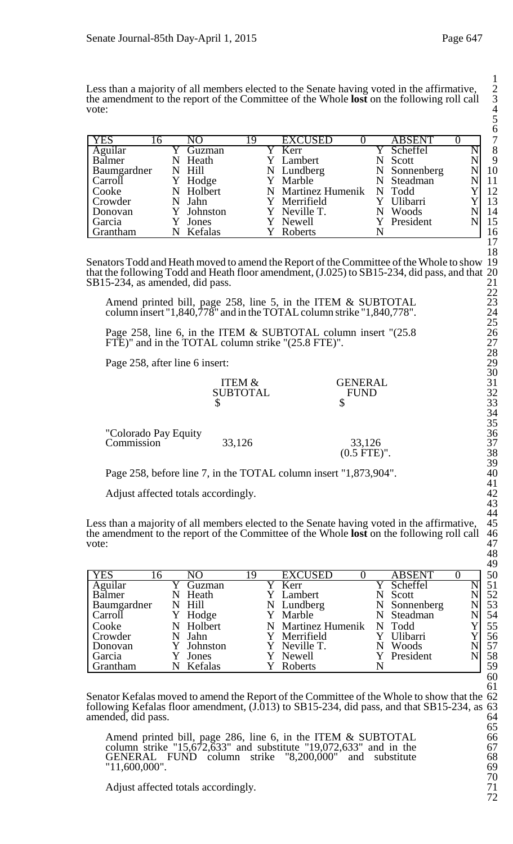Less than a majority of all members elected to the Senate having voted in the affirmative, the amendment to the report of the Committee of the Whole **lost** on the following roll call 3 vote: 4

|                 |   |           |    |                           |                 |  | $\checkmark$ |
|-----------------|---|-----------|----|---------------------------|-----------------|--|--------------|
| <b>YES</b>      | რ |           | 19 | <b>EXCUSED</b>            | <b>ABSENT</b>   |  | 7            |
| Aguilar         |   | Guzman    |    | Y Kerr                    | Scheffel        |  | 8            |
| <b>Balmer</b>   | N | Heath     |    | Y Lambert                 | Scott           |  | 9            |
| Baumgardner     |   | N Hill    |    | N Lundberg                | N Sonnenberg    |  | 10           |
| Carroll         |   | Y Hodge   |    | Y Marble                  | N Steadman      |  | 11           |
| Cooke           |   | N Holbert |    | N Martinez Humenik N Todd |                 |  | 12           |
| Crowder         |   | Jahn      |    | Y Merrifield              | <b>Ulibarri</b> |  | 13           |
| Donovan         |   | Johnston  |    | Y Neville T.              | Woods           |  | 14           |
| Garcia          |   | Jones     |    | Y Newell                  | Y President     |  | 15           |
| <b>Grantham</b> |   | Kefalas   |    | Roberts                   |                 |  | 16           |

Senators Todd and Heath moved to amend the Report of the Committee of the Whole to show 19 that the following Todd and Heath floor amendment, (J.025) to SB15-234, did pass, and that 20 SB15-234, as amended, did pass. 21

Amend printed bill, page 258, line 5, in the ITEM & SUBTOTAL 23 column insert "1,840,778" and in the TOTAL column strike "1,840,778". 24

Page 258, line 6, in the ITEM & SUBTOTAL column insert "(25.8 26 FTE)" and in the TOTAL column strike "(25.8 FTE)". 27

Page 258, after line 6 insert: 29

| <b>GENERAL</b> | ັ        |
|----------------|----------|
| FI IND         | າາ<br>ΩŹ |
| ۲IJ            | 33       |
|                |          |

| "Colorado Pay Equity |        |               | ر. ر<br>36 |
|----------------------|--------|---------------|------------|
| Commission           | 33,126 | 33,126        | 37         |
|                      |        | $(0.5$ FTE)". | 38         |

Page 258, before line 7, in the TOTAL column insert "1,873,904". 40

Adjust affected totals accordingly. 42

Less than a majority of all members elected to the Senate having voted in the affirmative, 45 the amendment to the report of the Committee of the Whole **lost** on the following roll call 46 vote:  $47$ 

| <b>YES</b>      | .6 | NΩ         | 19 | <b>EXCUSED</b>     |   | <b>ABSENT</b>     |  | 50 |
|-----------------|----|------------|----|--------------------|---|-------------------|--|----|
| Aguilar         |    | Guzman     |    | Kerr               |   | Scheffel          |  | 51 |
| Balmer          | N  | Heath      |    | Lambert            |   | Scott             |  | 52 |
| Baumgardner     |    | N Hill     |    | N Lundberg         | N | <b>Sonnenberg</b> |  | 53 |
| Carroll         |    | Hodge      |    | Y Marble           |   | Steadman          |  | 54 |
| Cooke           |    | N Holbert  |    | N Martinez Humenik |   | N Todd            |  | 55 |
| <b>Crowder</b>  |    | Jahn       |    | Y Merrifield       |   | Ulibarri          |  | 56 |
| Donovan         |    | Y Johnston |    | Y Neville T.       |   | Woods             |  | 57 |
| Garcia          |    | Jones      |    | Y Newell           |   | Y President       |  | 58 |
| <b>Grantham</b> |    | Kefalas    |    | Roberts            |   |                   |  | 59 |

Senator Kefalas moved to amend the Report of the Committee of the Whole to show that the 62 following Kefalas floor amendment,  $(J.013)$  to SB15-234, did pass, and that SB15-234, as 63 amended, did pass. amended, did pass.

Amend printed bill, page 286, line 6, in the ITEM & SUBTOTAL 66 column strike " $15,672,633$ " and substitute " $19,072,633$ " and in the 67 GENERAL FUND column strike "8,200,000" and substitute 68 "11,600,000". 69

Adjust affected totals accordingly.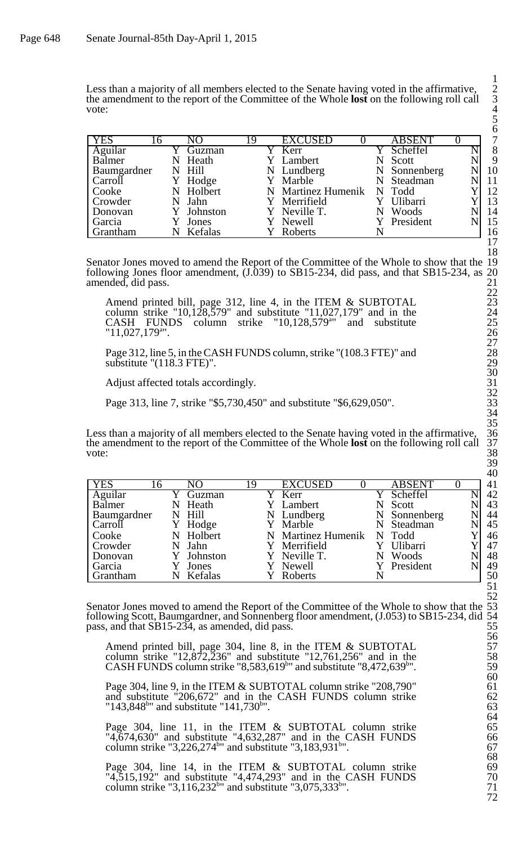Less than a majority of all members elected to the Senate having voted in the affirmative, the amendment to the report of the Committee of the Whole **lost** on the following roll call 3 vote: 4

| <b>YES</b>                  | .6 | NO         | 19 | <b>EXCUSED</b>     | <b>ABSENT</b> | 7  |
|-----------------------------|----|------------|----|--------------------|---------------|----|
| $\overline{\text{Aguilar}}$ |    | Guzman     |    | Kerr               | Scheffel      | 8  |
| Balmer                      | N  | Heath      |    | Y Lambert          | Scott         | 9  |
| Baumgardner                 |    | N Hill     |    | N Lundberg         | N Sonnenberg  | 10 |
| Carroll                     |    | Hodge      |    | Y Marble           | N Steadman    | 11 |
| Cooke                       | N  | Holbert    |    | N Martinez Humenik | N Todd        | 12 |
| Crowder                     |    | Jahn       |    | Y Merrifield       | Ulibarri      | 13 |
| Donovan                     |    | Y Johnston |    | Y Neville T.       | Woods         | 14 |
| Garcia                      |    | Jones      |    | Y Newell           | Y President   | 15 |
| <b>Grantham</b>             |    | Kefalas    |    | Roberts            |               | 16 |

Senator Jones moved to amend the Report of the Committee of the Whole to show that the 19 following Jones floor amendment, (J.039) to SB15-234, did pass, and that SB15-234, as 20 amended, did pass. 21

Amend printed bill, page 312, line 4, in the ITEM & SUBTOTAL 23 column strike " $10,128,579$ " and substitute " $11,027,179$ " and in the 24 CASH FUNDS column strike  $"10,128,579"$  and substitute 25 "11,027,179a ". 26

Page 312, line 5, in the CASH FUNDS column, strike "(108.3 FTE)" and 28 substitute " $(118.3 \text{ FTE})$ ". 29

Adjust affected totals accordingly. 31

Page 313, line 7, strike "\$5,730,450" and substitute "\$6,629,050". 33

Less than a majority of all members elected to the Senate having voted in the affirmative, 36 the amendment to the report of the Committee of the Whole **lost** on the following roll call 37 vote:  $38$ 

| <b>YES</b>  | 16 | NO         | 19 | <b>EXCUSED</b>     |   | <b>ABSENT</b> |  | 41 |
|-------------|----|------------|----|--------------------|---|---------------|--|----|
| Aguilar     |    | Guzman     |    | Y Kerr             |   | Y Scheffel    |  | 42 |
| Balmer      |    | Heath      |    | Y Lambert          |   | Scott         |  | 43 |
| Baumgardner |    | N Hill     |    | N Lundberg         |   | N Sonnenberg  |  | 44 |
| Carroll     |    | Y Hodge    |    | Y Marble           |   | N Steadman    |  | 45 |
| Cooke       |    | N Holbert  |    | N Martinez Humenik |   | N Todd        |  | 46 |
| Crowder     |    | Jahn       |    | Y Merrifield       |   | Ulibarri      |  | 47 |
| Donovan     |    | Y Johnston |    | Y Neville T.       | N | Woods         |  | 48 |
| Garcia      |    | Jones      |    | Newell             |   | President     |  | 49 |
| Grantham    |    | N Kefalas  |    | Roberts            |   |               |  | 50 |

Senator Jones moved to amend the Report of the Committee of the Whole to show that the 53 following Scott, Baumgardner, and Sonnenberg floor amendment, (J.053) to SB15-234, did 54 pass, and that SB15-234, as amended, did pass. 55

Amend printed bill, page 304, line 8, in the ITEM & SUBTOTAL 57 column strike " $12,872,236$ " and substitute " $12,761,256$ " and in the 58 CASH FUNDS column strike "8,583,619<sup>b</sup>" and substitute "8,472,639<sup>b</sup>"

Page 304, line 9, in the ITEM & SUBTOTAL column strike "208,790" 61 and substitute "206,672" and in the CASH FUNDS column strike 62 " $143,848$ <sup>b"</sup> and substitute " $141,730$ <sup>b"</sup>. 63

Page 304, line 11, in the ITEM & SUBTOTAL column strike 65 "4,674,630" and substitute "4,632,287" and in the CASH FUNDS 66 column strike " $3,226,274$ <sup>b"</sup> and substitute " $3,183,931$ <sup>b"</sup>. 67

Page 304, line 14, in the ITEM & SUBTOTAL column strike 69 "4,515,192" and substitute "4,474,293" and in the CASH FUNDS 70 column strike " $3,116,232$ <sup>b"</sup> and substitute " $3,075,333$ <sup>b"</sup>.  $71$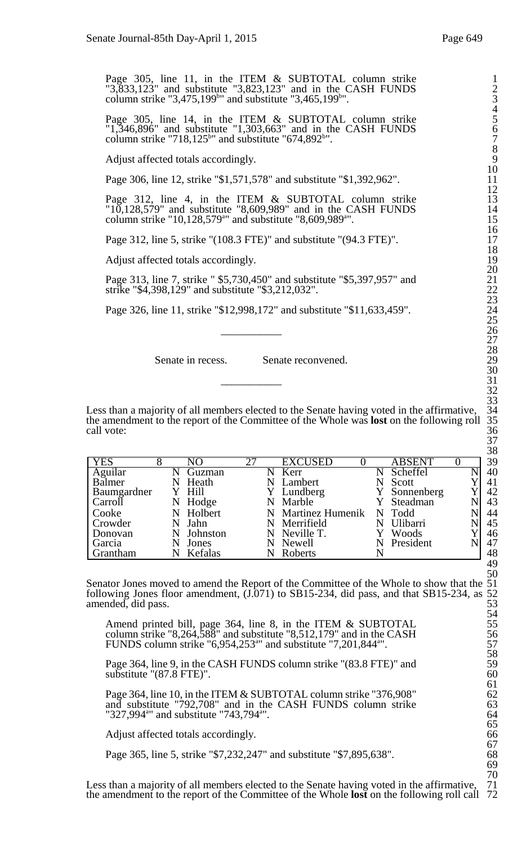Page 305, line 11, in the ITEM & SUBTOTAL column strike 1 "3,833,123" and substitute "3,823,123" and in the CASH FUNDS 2 column strike " $3,475,199$ <sup>b"</sup> and substitute " $3,465,199$ <sup>b"</sup>.

Page 305, line 14, in the ITEM & SUBTOTAL column strike 5  $"1,346,896"$  and substitute  $"1,303,663"$  and in the CASH FUNDS 6 column strike "718,125<sup>b</sup>" and substitute "674,892<sup>b</sup>".  $7 \frac{1}{2}$ 

Adjust affected totals accordingly.

Page 306, line 12, strike "\$1,571,578" and substitute "\$1,392,962".

Page 312, line 4, in the ITEM & SUBTOTAL column strike 13 "10,128,579" and substitute "8,609,989" and in the CASH FUNDS 14 column strike "10,128,579a " and substitute "8,609,989a ". 15

Page 312, line 5, strike "(108.3 FTE)" and substitute "(94.3 FTE)".

Adjust affected totals accordingly.

Page 313, line 7, strike " \$5,730,450" and substitute "\$5,397,957" and 21 strike " $$4,398,129$ " and substitute " $$3,212,032$ ".

Page 326, line 11, strike "\$12,998,172" and substitute "\$11,633,459".

Senate in recess. Senate reconvened.

Less than a majority of all members elected to the Senate having voted in the affirmative, the amendment to the report of the Committee of the Whole was **lost** on the following roll call vote: call vote:  $36$ 

| <b>YES</b>  |   | NO       | 27 |   | <b>EXCUSED</b>     |   | <b>ABSENT</b> |   | 39                 |
|-------------|---|----------|----|---|--------------------|---|---------------|---|--------------------|
| Aguilar     |   | Guzman   |    |   | N Kerr             |   | Scheffel      | N | 40                 |
| Balmer      | N | Heath    |    | N | Lambert            |   | Scott         |   | 41                 |
| Baumgardner |   | Y Hill   |    |   | Y Lundberg         |   | Y Sonnenberg  |   | 42                 |
| Carroll     | N | Hodge    |    |   | N Marble           |   | Steadman      |   | 43                 |
| Cooke       | N | Holbert  |    |   | N Martinez Humenik |   | N Todd        |   | 44                 |
| Crowder     | N | Jahn     |    |   | N Merrifield       |   | Ulibarri      |   | 45                 |
| Donovan     | N | Johnston |    |   | N Neville T.       |   | Woods         |   | 46                 |
| Garcia      | N | Jones    |    | N | Newell             | N | President     |   | 47                 |
| Grantham    | N | Kefalas  |    |   | Roberts            |   |               |   | 48                 |
|             |   |          |    |   |                    |   |               |   | $\Lambda$ $\Omega$ |

Senator Jones moved to amend the Report of the Committee of the Whole to show that the 51 following Jones floor amendment,  $(J.071)$  to SB15-234, did pass, and that SB15-234, as amended, did pass.

Amend printed bill, page 364, line 8, in the ITEM & SUBTOTAL 55 column strike "8,264,588" and substitute "8,512,179" and in the CASH  $56$ FUNDS column strike "6,954,253<sup>a</sup>" and substitute "7,201,844<sup>a</sup>  $\cdot$  57

Page 364, line 9, in the CASH FUNDS column strike "(83.8 FTE)" and 59 substitute " $(87.8 \text{ FTE})$ ". 60

Page 364, line 10, in the ITEM & SUBTOTAL column strike "376,908" 62<br>and substitute "792,708" and in the CASH FUNDS column strike 63 and substitute "792,708" and in the CASH FUNDS column strike 63 "327,994<sup>a</sup>" and substitute "743,794<sup>a</sup>". 64

Adjust affected totals accordingly.

Page 365, line 5, strike "\$7,232,247" and substitute "\$7,895,638".

Less than a majority of all members elected to the Senate having voted in the affirmative, the amendment to the report of the Committee of the Whole **lost** on the following roll call 72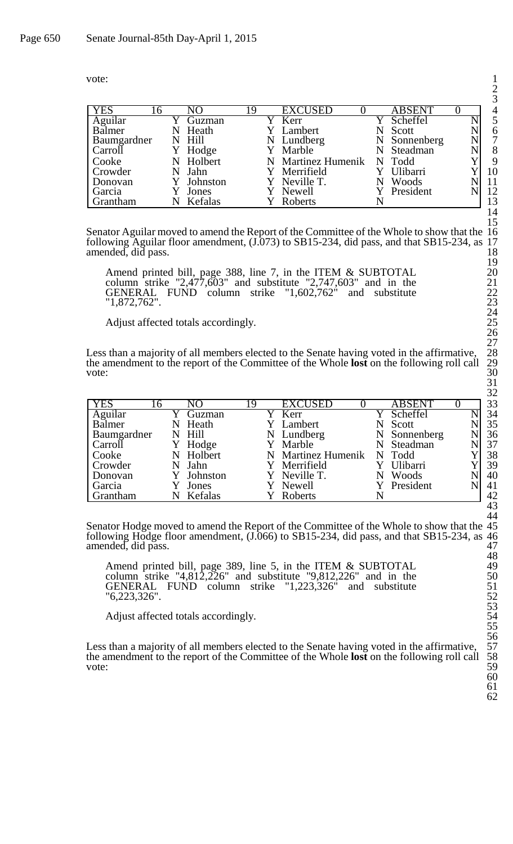| vote: |
|-------|
|       |

| <b>YES</b>        | .6 | NΟ         | 19 | <b>EXCUSED</b>     |   | <b>ABSENT</b> |   | $\overline{4}$ |
|-------------------|----|------------|----|--------------------|---|---------------|---|----------------|
| Aguilar<br>Balmer |    | Guzman     |    | Kerr               |   | Scheffel      | N | 5              |
|                   |    | N Heath    |    | Lambert            |   | Scott         |   | 6              |
| Baumgardner       |    | N Hill     |    | N Lundberg         | N | Sonnenberg    | N | 7              |
| Carroll           |    | Y Hodge    |    | Y Marble           |   | Steadman      |   | 8              |
| Cooke             |    | N Holbert  |    | N Martinez Humenik |   | N Todd        |   | 9              |
| Crowder           |    | N Jahn     |    | Y Merrifield       |   | Ulibarri      |   | 10             |
| Donovan           |    | Y Johnston |    | Y Neville T.       |   | Woods         |   | 11             |
| Garcia            |    | Jones      |    | Newell             |   | President     |   | 12             |
| Grantham          |    | Kefalas    |    | Roberts            |   |               |   | 13             |

Senator Aguilar moved to amend the Report of the Committee of the Whole to show that the 16 following Aguilar floor amendment, (J.073) to SB15-234, did pass, and that SB15-234, as 17 amended, did pass. 18

Amend printed bill, page 388, line 7, in the ITEM & SUBTOTAL 20 column strike "2,477,603" and substitute "2,747,603" and in the  $21$ GENERAL FUND column strike "1,602,762" and substitute 22 "1,872,762". 23

Adjust affected totals accordingly.

Less than a majority of all members elected to the Senate having voted in the affirmative, the amendment to the report of the Committee of the Whole **lost** on the following roll call 29 vote:  $30$ 

|                 |          |            |    |                    |               | $\tilde{\phantom{a}}$ |
|-----------------|----------|------------|----|--------------------|---------------|-----------------------|
| <b>YES</b>      | <b>b</b> | NO         | 19 | <b>EXCUSED</b>     | <b>ABSENT</b> | 33                    |
| Aguilar         |          | Guzman     |    | Y Kerr             | Scheffel      | 34                    |
| Balmer          | N        | Heath      |    | Y Lambert          | Scott         | 35                    |
| Baumgardner     |          | N Hill     |    | N Lundberg         | N Sonnenberg  | 36                    |
| Carroll         |          | Hodge      |    | Y Marble           | N Steadman    | 37                    |
| Cooke           | N        | Holbert    |    | N Martinez Humenik | N Todd        | 38                    |
| Crowder         |          | Jahn       |    | Y Merrifield       | Y Ulibarri    | 39                    |
| Donovan         |          | Y Johnston |    | Y Neville T.       | Woods         | 40                    |
| Garcia          |          | Jones      |    | Y Newell           | Y President   | 41                    |
| <b>Grantham</b> |          | Kefalas    |    | Roberts            |               | 42                    |

Senator Hodge moved to amend the Report of the Committee of the Whole to show that the 45 following Hodge floor amendment, (J.066) to SB15-234, did pass, and that SB15-234, as 46 amended, did pass. 47

Amend printed bill, page 389, line 5, in the ITEM & SUBTOTAL 49 column strike "4,812,226" and substitute "9,812,226" and in the  $50$ GENERAL FUND column strike "1,223,326" and substitute 51 "6,223,326". 52

Adjust affected totals accordingly.

Less than a majority of all members elected to the Senate having voted in the affirmative, the amendment to the report of the Committee of the Whole **lost** on the following roll call vote: vote:  $59$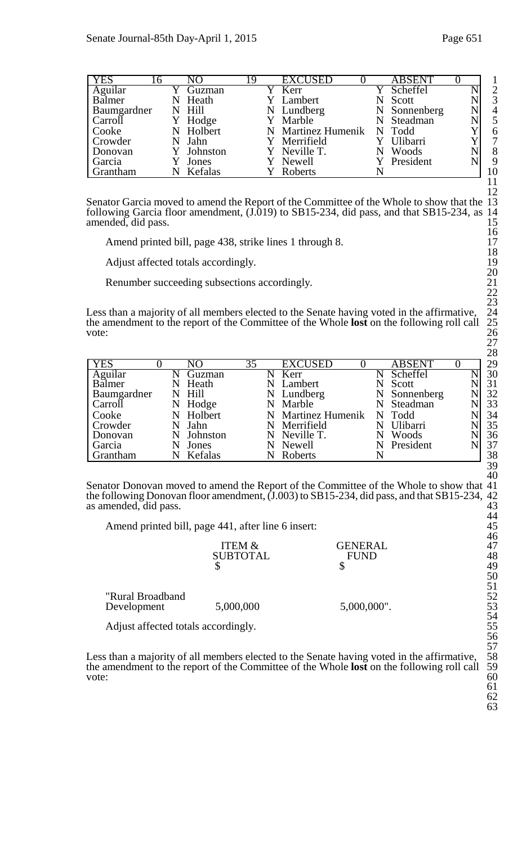| <b>YES</b>  | 16 | NО         | 19 | <b>EXCUSED</b>            |   | <b>ABSENT</b> |   |                |
|-------------|----|------------|----|---------------------------|---|---------------|---|----------------|
| Aguilar     |    | Guzman     |    | Y Kerr                    |   | Y Scheffel    | N | $\overline{2}$ |
| Balmer      | N  | Heath      |    | Y Lambert                 |   | Scott         |   | 3              |
| Baumgardner |    | N Hill     |    | N Lundberg                |   | N Sonnenberg  | N |                |
| Carroll     |    | Y Hodge    |    | Y Marble                  |   | N Steadman    |   |                |
| Cooke       |    | N Holbert  |    | N Martinez Humenik N Todd |   |               |   |                |
| Crowder     | N  | Jahn       |    | Y Merrifield              |   | Y Ulibarri    |   |                |
| Donovan     |    | Y Johnston |    | Y Neville T.              | N | Woods         |   |                |
| Garcia      |    | Jones      |    | Y Newell                  |   | Y President   |   | 9              |
| Grantham    |    | Kefalas    |    | Roberts                   |   |               |   | 10             |

Senator Garcia moved to amend the Report of the Committee of the Whole to show that the 13 following Garcia floor amendment, (J.019) to SB15-234, did pass, and that SB15-234, as 14 amended, did pass. 15

Amend printed bill, page 438, strike lines 1 through 8. 17

Adjust affected totals accordingly. 19

Renumber succeeding subsections accordingly. 21

Less than a majority of all members elected to the Senate having voted in the affirmative, 24 the amendment to the report of the Committee of the Whole **lost** on the following roll call 25 vote:  $26$ 

| <b>YES</b>  |   | NΩ         | 35 |   | <b>EXCUSED</b>     |   | <b>ABSENT</b> |  | 29 |
|-------------|---|------------|----|---|--------------------|---|---------------|--|----|
| Aguilar     |   | Guzman     |    |   | Kerr               |   | Scheffel      |  | 30 |
| Balmer      | N | Heath      |    | N | Lambert            |   | Scott         |  | 31 |
| Baumgardner |   | N Hill     |    |   | N Lundberg         |   | N Sonnenberg  |  | 32 |
| Carroll     |   | N Hodge    |    |   | N Marble           |   | Steadman      |  | 33 |
| Cooke       |   | N Holbert  |    |   | N Martinez Humenik |   | N Todd        |  | 34 |
| Crowder     |   | N Jahn     |    |   | N Merrifield       |   | Ulibarri      |  | 35 |
| Donovan     |   | N Johnston |    |   | N Neville T.       |   | Woods         |  | 36 |
| Garcia      |   | Jones      |    |   | N Newell           | N | President     |  | 37 |
| Grantham    |   | N Kefalas  |    |   | Roberts            |   |               |  | 38 |

Senator Donovan moved to amend the Report of the Committee of the Whole to show that 41 the following Donovan floor amendment, (J.003) to SB15-234, did pass, and that SB15-234, 42 as amended, did pass. 43

Amend printed bill, page 441, after line 6 insert: 45

|                  | <b>ITEM &amp;</b> | GENERAL     | TV<br>47 |
|------------------|-------------------|-------------|----------|
|                  | <b>SUBTOTAL</b>   | <b>FUND</b> | 48       |
|                  |                   |             | 49       |
|                  |                   |             | 50       |
|                  |                   |             | 51       |
| "Rural Broadband |                   |             | 52       |
| Development      | 5,000,000         | 5,000,000". | 53       |
|                  |                   |             | 51       |

Adjust affected totals accordingly. 55

Less than a majority of all members elected to the Senate having voted in the affirmative, 58 the amendment to the report of the Committee of the Whole **lost** on the following roll call 59 vote:  $\qquad \qquad 60$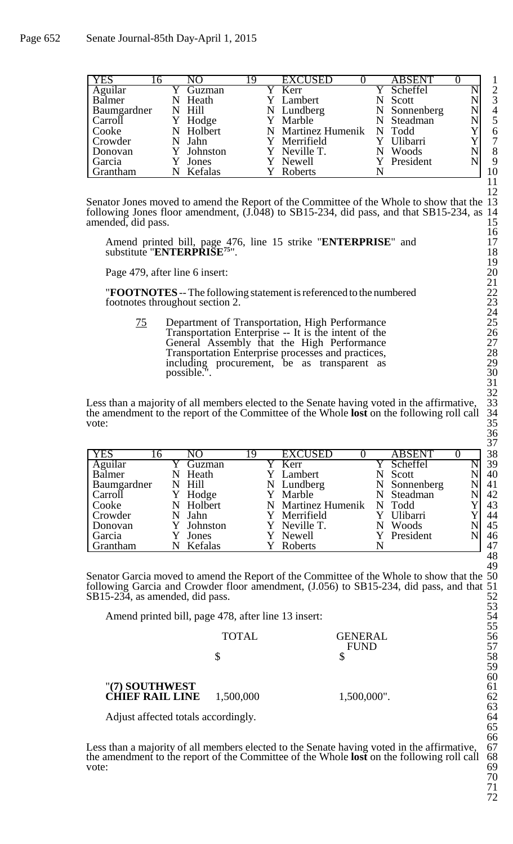| <b>YES</b>        | 16 | NΟ         | 19 | <b>EXCUSED</b>     | <b>ABSENT</b> |  |
|-------------------|----|------------|----|--------------------|---------------|--|
| Aguilar<br>Balmer |    | Guzman     |    | Kerr               | Scheffel      |  |
|                   |    | Heath      |    | Lambert            | Scott         |  |
| Baumgardner       |    | N Hill     |    | N Lundberg         | Sonnenberg    |  |
| Carroll           |    | Y Hodge    |    | Y Marble           | Steadman      |  |
| Cooke             |    | Holbert    |    | N Martinez Humenik | N Todd        |  |
| Crowder           |    | N Jahn     |    | Y Merrifield       | Ulibarri      |  |
| Donovan           |    | Y Johnston |    | Y Neville T.       | Woods         |  |
| Garcia            |    | Jones      |    | Y Newell           | Y President   |  |
| Grantham          |    | Kefalas    |    | Roberts            |               |  |

Senator Jones moved to amend the Report of the Committee of the Whole to show that the following Jones floor amendment,  $(J.048)$  to SB15-234, did pass, and that SB15-234, as amended, did pass.

Amend printed bill, page 476, line 15 strike "**ENTERPRISE**" and 17 substitute "ENTERPRISE<sup>75</sup>". <sup>18</sup>

Page 479, after line 6 insert:

**TROOTNOTES** -- The following statement is referenced to the numbered footnotes throughout section 2.

75 Department of Transportation, High Performance Transportation Enterprise -- It is the intent of the 26 General Assembly that the High Performance Transportation Enterprise processes and practices, 28 including procurement, be as transparent as possible."

Less than a majority of all members elected to the Senate having voted in the affirmative, the amendment to the report of the Committee of the Whole **lost** on the following roll call 34 vote:  $35$ 

| <b>YES</b>  | 16 | NO         | 19 | <b>EXCUSED</b>     | <b>ABSENT</b> |   |
|-------------|----|------------|----|--------------------|---------------|---|
| Aguilar     |    | Guzman     |    | Y Kerr             | Scheffel      | N |
| Balmer      |    | N Heath    |    | Y Lambert          | Scott         |   |
| Baumgardner |    | N Hill     |    | N Lundberg         | N Sonnenberg  |   |
| Carroll     |    | Y Hodge    |    | Y Marble           | N Steadman    |   |
| Cooke       |    | N Holbert  |    | N Martinez Humenik | N Todd        |   |
| Crowder     |    | N Jahn     |    | Y Merrifield       | Ulibarri      |   |
| Donovan     |    | Y Johnston |    | Y Neville T.       | Woods         |   |
| Garcia      |    | Jones      |    | Y Newell           | Y President   |   |
| Grantham    | N  | Kefalas    |    | Roberts            |               |   |

Senator Garcia moved to amend the Report of the Committee of the Whole to show that the 50 following Garcia and Crowder floor amendment, (J.056) to SB15-234, did pass, and that 51  $SB15-234$ , as amended, did pass.  $52$ 

Amend printed bill, page 478, after line 13 insert: 54

|                                    | <b>TOTAL</b> | <b>GENERAL</b> | 56 |
|------------------------------------|--------------|----------------|----|
|                                    |              | <b>FUND</b>    | 57 |
|                                    |              |                | 58 |
|                                    |              |                | 59 |
|                                    |              |                | 60 |
| "(7) SOUTHWEST                     |              |                | 61 |
| <b>CHIEF RAIL LINE</b> $1,500,000$ |              | 1,500,000".    | 62 |
|                                    |              |                | 62 |

Adjust affected totals accordingly. 64

Less than a majority of all members elected to the Senate having voted in the affirmative, 67 the amendment to the report of the Committee of the Whole **lost** on the following roll call 68 vote:  $\qquad \qquad 69$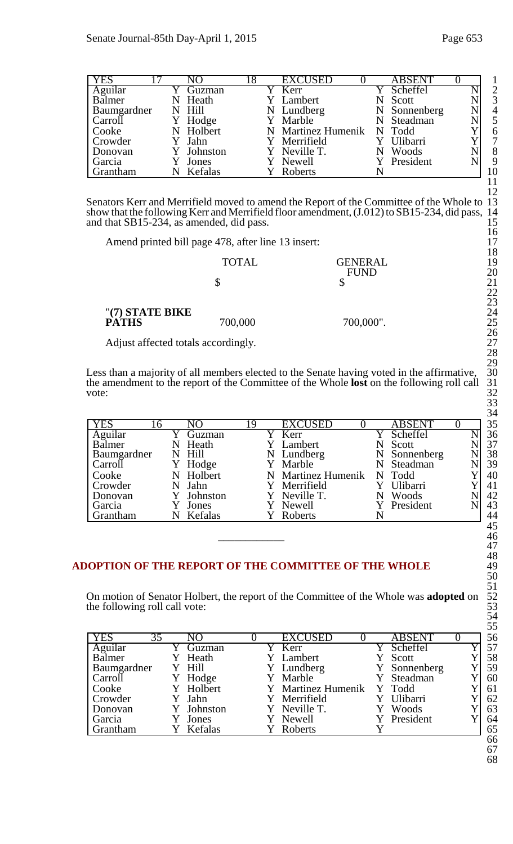| Page 653 |  |
|----------|--|
|          |  |

| <b>YES</b>        |  | NO        | 18 | <b>EXCUSED</b>            | <b>ABSENT</b> |  |                |
|-------------------|--|-----------|----|---------------------------|---------------|--|----------------|
| Aguilar<br>Balmer |  | Guzman    |    | Y Kerr                    | Scheffel      |  | $\overline{2}$ |
|                   |  | Heath     |    | Y Lambert                 | Scott         |  | 3              |
| Baumgardner       |  | N Hill    |    | N Lundberg                | N Sonnenberg  |  | $\overline{4}$ |
| Carroll           |  | Hodge     |    | Y Marble                  | N Steadman    |  | 5              |
| Cooke             |  | N Holbert |    | N Martinez Humenik N Todd |               |  | 6              |
| Crowder           |  | Jahn      |    | Y Merrifield              | Ulibarri      |  | $\overline{7}$ |
| Donovan           |  | Johnston  |    | Y Neville T.              | Woods         |  | 8              |
| Garcia            |  | Jones     |    | Y Newell                  | Y President   |  | 9              |
| Grantham          |  | Kefalas   |    | Roberts                   |               |  | 10             |

Senators Kerr and Merrifield moved to amend the Report of the Committee of the Whole to 13 show that the following Kerr and Merrifield floor amendment, (J.012) to SB15-234, did pass, 14 and that  $SB15-234$ , as amended, did pass. 15

Amend printed bill page 478, after line 13 insert: 17

|                 | <b>TOTAL</b> | <b>GENERAL</b> | 1 O<br>19     |
|-----------------|--------------|----------------|---------------|
|                 |              | <b>FUND</b>    | 20            |
|                 |              |                | 21            |
|                 |              |                | 22            |
|                 |              |                | 23            |
| "(7) STATE BIKE |              |                | 24            |
| <b>PATHS</b>    | 700,000      | 700,000".      | 25            |
|                 |              |                | $\sim$ $\sim$ |

Adjust affected totals accordingly. 27

Less than a majority of all members elected to the Senate having voted in the affirmative, 30 the amendment to the report of the Committee of the Whole **lost** on the following roll call 31 vote:  $32$ 

| <b>YES</b>        | 16 | NO            | 19 | <b>EXCUSED</b>          |   | <b>ABSENT</b> |  |
|-------------------|----|---------------|----|-------------------------|---|---------------|--|
| Aguilar<br>Balmer |    | Guzman        |    | Kerr                    |   | Scheffel      |  |
|                   | N  | Heath         |    | Lambert                 | N | Scott         |  |
| Baumgardner       |    | N Hill        |    | N Lundberg              | N | Sonnenberg    |  |
| Carroll           |    | Hodge         |    | Marble                  | N | Steadman      |  |
| Cooke             |    | Holbert       |    | <b>Martinez Humenik</b> |   | N Todd        |  |
| Crowder           |    | Jahn          |    | Merrifield              |   | Ulibarri      |  |
| Donovan           |    | Johnston      |    | Neville T.              |   | Woods         |  |
| Garcia            |    | Jones         |    | Newell                  |   | President     |  |
| <b>Grantham</b>   |    | Kefalas<br>N. |    | Roberts                 |   |               |  |
|                   |    |               |    |                         |   |               |  |
|                   |    |               |    |                         |   |               |  |

# ADOPTION OF THE REPORT OF THE COMMITTEE OF THE WHOLE

On motion of Senator Holbert, the report of the Committee of the Whole was **adopted** on the following roll call vote:

| <b>YES</b><br>35 | NO        |  | <b>EXCUSED</b>      | <b>ABSENT</b> |  |
|------------------|-----------|--|---------------------|---------------|--|
| Aguilar          | Guzman    |  | $\overline{Y}$ Kerr | Scheffel      |  |
| Balmer           | Heath     |  | Lambert             | Scott         |  |
| Baumgardner      | Y Hill    |  | Y Lundberg          | Y Sonnenberg  |  |
| Carroll          | Y Hodge   |  | Y Marble            | Y Steadman    |  |
| Cooke            | Y Holbert |  | Y Martinez Humenik  | Y Todd        |  |
| Crowder          | Y Jahn    |  | Y Merrifield        | Ulibarri      |  |
| Donovan          | Johnston  |  | Y Neville T.        | Woods         |  |
| Garcia           | Jones     |  | Y Newell            | Y President   |  |
| Grantham         | Kefalas   |  | Roberts             |               |  |